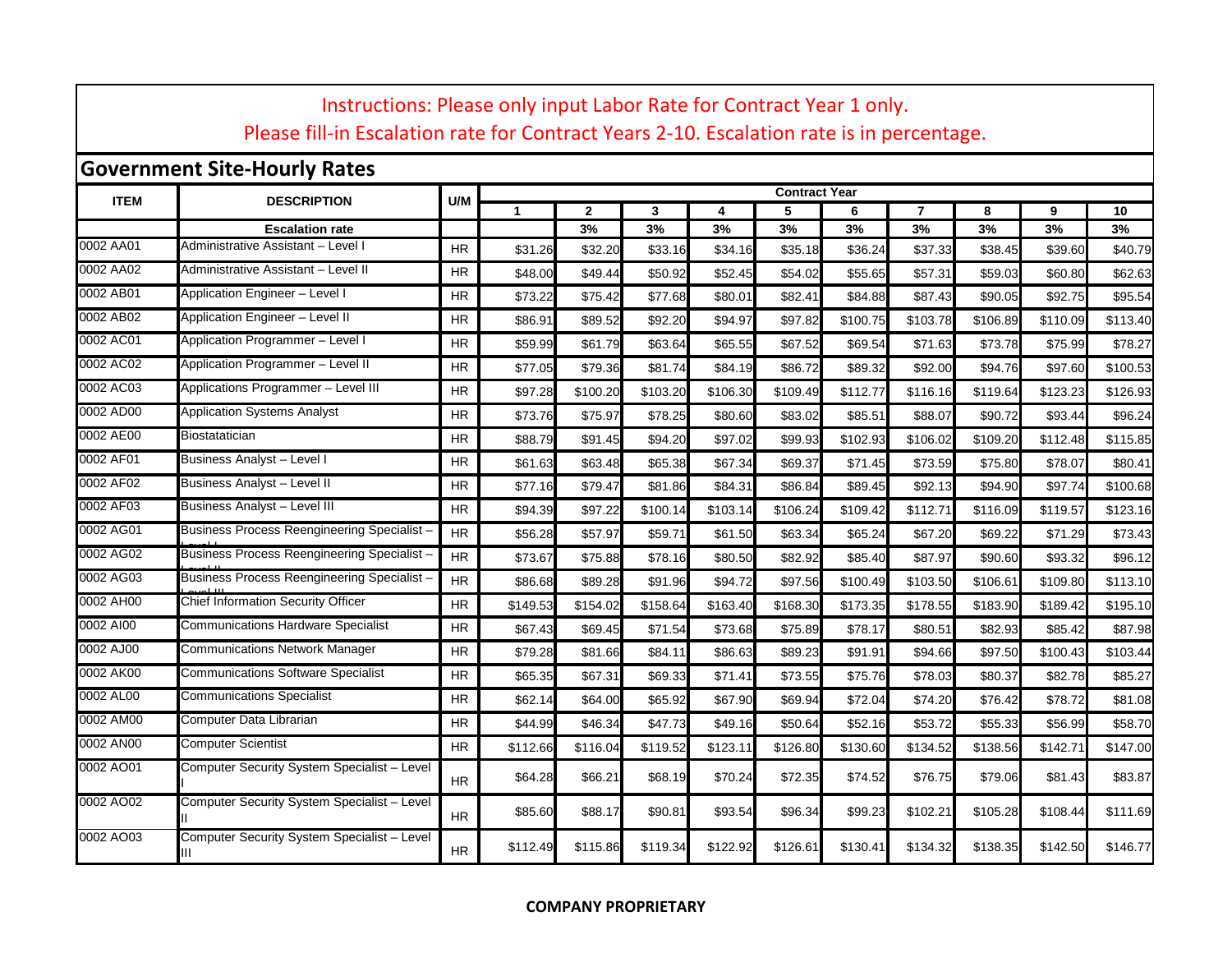|             | Instructions: Please only input Labor Rate for Contract Year 1 only.<br>Please fill-in Escalation rate for Contract Years 2-10. Escalation rate is in percentage. |           |              |               |               |               |                      |               |                |               |               |               |
|-------------|-------------------------------------------------------------------------------------------------------------------------------------------------------------------|-----------|--------------|---------------|---------------|---------------|----------------------|---------------|----------------|---------------|---------------|---------------|
|             | <b>Government Site-Hourly Rates</b>                                                                                                                               |           |              |               |               |               |                      |               |                |               |               |               |
| <b>ITEM</b> | <b>DESCRIPTION</b>                                                                                                                                                | U/M       |              |               |               |               | <b>Contract Year</b> |               |                |               |               |               |
|             |                                                                                                                                                                   |           | $\mathbf{1}$ | $\mathbf{2}$  | 3             | 4             | 5                    | 6             | $\overline{7}$ | 8             | 9             | 10            |
| 0002 AA01   | <b>Escalation rate</b><br>Administrative Assistant - Level I                                                                                                      | <b>HR</b> | \$31.26      | 3%<br>\$32.20 | 3%<br>\$33.16 | 3%<br>\$34.16 | 3%<br>\$35.18        | 3%<br>\$36.24 | 3%<br>\$37.33  | 3%<br>\$38.45 | 3%<br>\$39.60 | 3%<br>\$40.79 |
| 0002 AA02   | Administrative Assistant - Level II                                                                                                                               | <b>HR</b> | \$48.00      | \$49.44       | \$50.92       | \$52.45       | \$54.02              | \$55.65       | \$57.31        | \$59.03       | \$60.80       | \$62.63       |
| 0002 AB01   | Application Engineer - Level I                                                                                                                                    | HR        | \$73.22      | \$75.42       | \$77.68       | \$80.01       | \$82.41              | \$84.88       | \$87.43        | \$90.05       | \$92.75       | \$95.54       |
| 0002 AB02   | Application Engineer - Level II                                                                                                                                   | <b>HR</b> | \$86.9       | \$89.52       | \$92.20       | \$94.97       | \$97.82              | \$100.75      | \$103.78       | \$106.89      | \$110.09      | \$113.40      |
| 0002 AC01   | Application Programmer - Level I                                                                                                                                  | <b>HR</b> | \$59.99      | \$61.79       | \$63.64       | \$65.55       | \$67.52              | \$69.54       | \$71.63        | \$73.78       | \$75.99       | \$78.27       |
| 0002 AC02   | Application Programmer - Level II                                                                                                                                 | HR        | \$77.05      | \$79.36       | \$81.74       | \$84.19       | \$86.72              | \$89.32       | \$92.00        | \$94.76       | \$97.60       | \$100.53      |
| 0002 AC03   | Applications Programmer - Level III                                                                                                                               | <b>HR</b> | \$97.28      | \$100.20      | \$103.20      | \$106.30      | \$109.49             | \$112.77      | \$116.16       | \$119.64      | \$123.23      | \$126.93      |
| 0002 AD00   | Application Systems Analyst                                                                                                                                       | <b>HR</b> | \$73.76      | \$75.97       | \$78.25       | \$80.60       | \$83.02              | \$85.51       | \$88.07        | \$90.72       | \$93.44       | \$96.24       |
| 0002 AE00   | <b>Biostatatician</b>                                                                                                                                             | <b>HR</b> | \$88.79      | \$91.45       | \$94.20       | \$97.02       | \$99.93              | \$102.93      | \$106.02       | \$109.20      | \$112.48      | \$115.85      |
| 0002 AF01   | Business Analyst - Level I                                                                                                                                        | <b>HR</b> | \$61.63      | \$63.48       | \$65.38       | \$67.34       | \$69.37              | \$71.45       | \$73.59        | \$75.80       | \$78.07       | \$80.41       |
| 0002 AF02   | Business Analyst - Level II                                                                                                                                       | <b>HR</b> | \$77.16      | \$79.47       | \$81.86       | \$84.31       | \$86.84              | \$89.45       | \$92.13        | \$94.90       | \$97.74       | \$100.68      |
| 0002 AF03   | <b>Business Analyst - Level III</b>                                                                                                                               | <b>HR</b> | \$94.39      | \$97.22       | \$100.14      | \$103.14      | \$106.24             | \$109.42      | \$112.71       | \$116.09      | \$119.57      | \$123.16      |
| 0002 AG01   | Business Process Reengineering Specialist -                                                                                                                       | <b>HR</b> | \$56.28      | \$57.97       | \$59.71       | \$61.50       | \$63.34              | \$65.24       | \$67.20        | \$69.22       | \$71.29       | \$73.43       |
| 0002 AG02   | Business Process Reengineering Specialist -                                                                                                                       | <b>HR</b> | \$73.67      | \$75.88       | \$78.16       | \$80.50       | \$82.92              | \$85.40       | \$87.97        | \$90.60       | \$93.32       | \$96.12       |
| 0002 AG03   | Business Process Reengineering Specialist -                                                                                                                       | <b>HR</b> | \$86.68      | \$89.28       | \$91.96       | \$94.72       | \$97.56              | \$100.49      | \$103.50       | \$106.61      | \$109.80      | \$113.10      |
| 0002 AH00   | Chief Information Security Officer                                                                                                                                | <b>HR</b> | \$149.53     | \$154.02      | \$158.64      | \$163.40      | \$168.30             | \$173.35      | \$178.55       | \$183.90      | \$189.42      | \$195.10      |
| 0002 AI00   | Communications Hardware Specialist                                                                                                                                | HR        | \$67.43      | \$69.45       | \$71.54       | \$73.68       | \$75.89              | \$78.17       | \$80.51        | \$82.93       | \$85.42       | \$87.98       |
| 0002 AJ00   | <b>Communications Network Manager</b>                                                                                                                             | <b>HR</b> | \$79.28      | \$81.66       | \$84.11       | \$86.63       | \$89.23              | \$91.91       | \$94.66        | \$97.50       | \$100.43      | \$103.44      |
| 0002 AK00   | Communications Software Specialist                                                                                                                                | <b>HR</b> | \$65.35      | \$67.31       | \$69.33       | \$71.41       | \$73.55              | \$75.76       | \$78.03        | \$80.37       | \$82.78       | \$85.27       |
| 0002 AL00   | <b>Communications Specialist</b>                                                                                                                                  | HR        | \$62.14      | \$64.00       | \$65.92       | \$67.90       | \$69.94              | \$72.04       | \$74.20        | \$76.42       | \$78.72       | \$81.08       |
| 0002 AM00   | Computer Data Librarian                                                                                                                                           | HR        | \$44.99      | \$46.34       | \$47.73       | \$49.16       | \$50.64              | \$52.16       | \$53.72        | \$55.33       | \$56.99       | \$58.70       |
| 0002 AN00   | Computer Scientist                                                                                                                                                | <b>HR</b> | \$112.66     | \$116.04      | \$119.52      | \$123.11      | \$126.80             | \$130.60      | \$134.52       | \$138.56      | \$142.71      | \$147.00      |
| 0002 AO01   | Computer Security System Specialist - Level                                                                                                                       | <b>HR</b> | \$64.28      | \$66.21       | \$68.19       | \$70.24       | \$72.35              | \$74.52       | \$76.75        | \$79.06       | \$81.43       | \$83.87       |
| 0002 AO02   | Computer Security System Specialist - Level                                                                                                                       | <b>HR</b> | \$85.60      | \$88.17       | \$90.81       | \$93.54       | \$96.34              | \$99.23       | \$102.21       | \$105.28      | \$108.44      | \$111.69      |
| 0002 AO03   | Computer Security System Specialist - Level<br>Ш                                                                                                                  | <b>HR</b> | \$112.49     | \$115.86      | \$119.34      | \$122.92      | \$126.61             | \$130.41      | \$134.32       | \$138.35      | \$142.50      | \$146.77      |

## **COMPANY PROPRIETARY**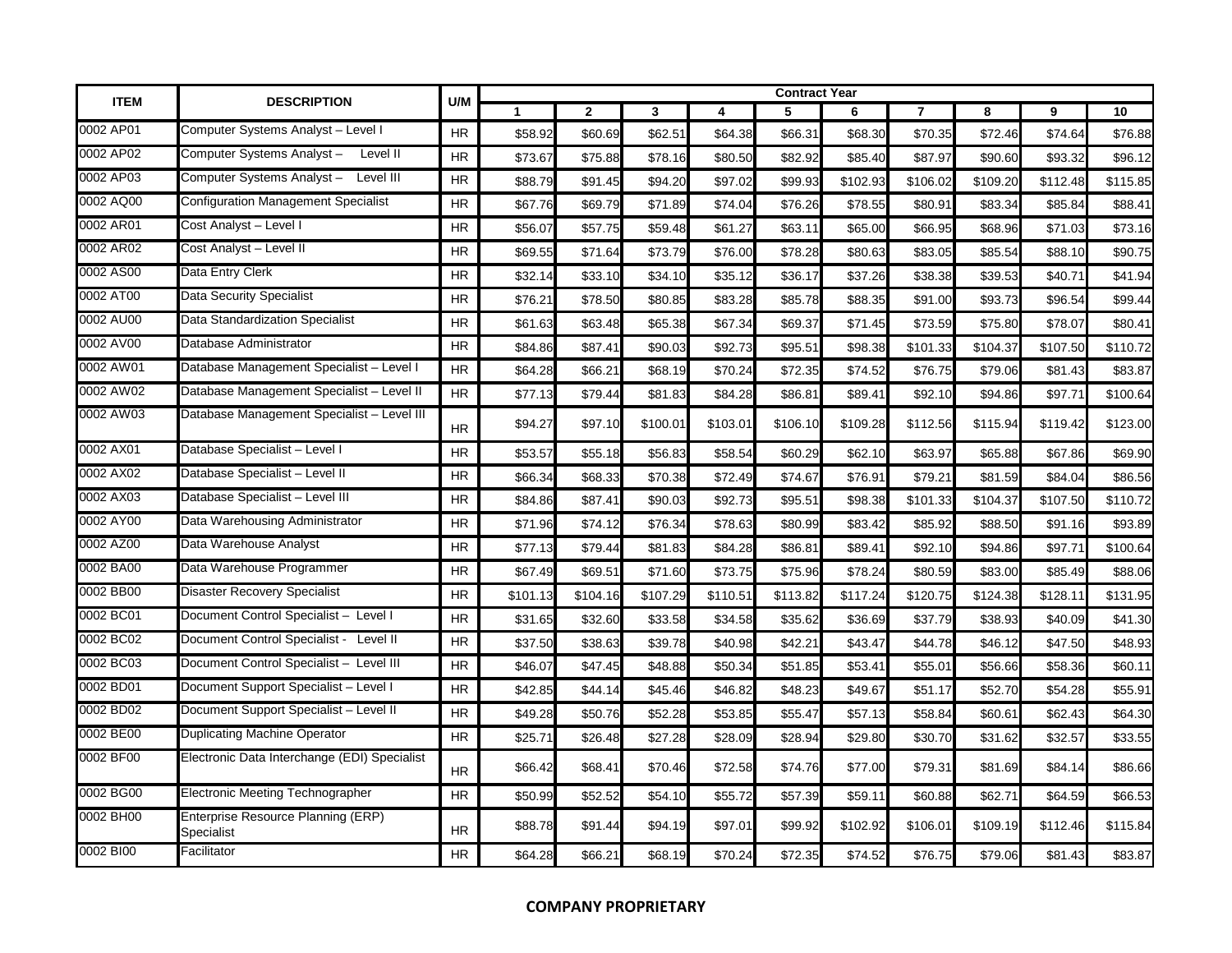| <b>ITEM</b> | <b>DESCRIPTION</b>                               | U/M       |              |              |              |          | <b>Contract Year</b> |          |                |          |          |          |
|-------------|--------------------------------------------------|-----------|--------------|--------------|--------------|----------|----------------------|----------|----------------|----------|----------|----------|
|             |                                                  |           | $\mathbf{1}$ | $\mathbf{2}$ | $\mathbf{3}$ | 4        | 5                    | 6        | $\overline{7}$ | 8        | 9        | 10       |
| 0002 AP01   | Computer Systems Analyst - Level I               | <b>HR</b> | \$58.92      | \$60.69      | \$62.51      | \$64.38  | \$66.31              | \$68.30  | \$70.35        | \$72.46  | \$74.64  | \$76.88  |
| 0002 AP02   | Computer Systems Analyst-<br>Level II            | HR.       | \$73.67      | \$75.88      | \$78.16      | \$80.50  | \$82.92              | \$85.40  | \$87.97        | \$90.60  | \$93.32  | \$96.12  |
| 0002 AP03   | Computer Systems Analyst -<br>Level III          | <b>HR</b> | \$88.79      | \$91.45      | \$94.20      | \$97.02  | \$99.93              | \$102.93 | \$106.02       | \$109.20 | \$112.48 | \$115.85 |
| 0002 AQ00   | <b>Configuration Management Specialist</b>       | <b>HR</b> | \$67.76      | \$69.79      | \$71.89      | \$74.04  | \$76.26              | \$78.55  | \$80.91        | \$83.34  | \$85.84  | \$88.41  |
| 0002 AR01   | Cost Analyst - Level I                           | <b>HR</b> | \$56.07      | \$57.75      | \$59.48      | \$61.27  | \$63.11              | \$65.00  | \$66.95        | \$68.96  | \$71.03  | \$73.16  |
| 0002 AR02   | Cost Analyst - Level II                          | <b>HR</b> | \$69.55      | \$71.64      | \$73.79      | \$76.00  | \$78.28              | \$80.63  | \$83.05        | \$85.54  | \$88.10  | \$90.75  |
| 0002 AS00   | Data Entry Clerk                                 | <b>HR</b> | \$32.14      | \$33.10      | \$34.10      | \$35.12  | \$36.17              | \$37.26  | \$38.38        | \$39.53  | \$40.71  | \$41.94  |
| 0002 AT00   | <b>Data Security Specialist</b>                  | <b>HR</b> | \$76.21      | \$78.50      | \$80.85      | \$83.28  | \$85.78              | \$88.35  | \$91.00        | \$93.73  | \$96.54  | \$99.44  |
| 0002 AU00   | Data Standardization Specialist                  | <b>HR</b> | \$61.63      | \$63.48      | \$65.38      | \$67.34  | \$69.37              | \$71.45  | \$73.59        | \$75.80  | \$78.07  | \$80.41  |
| 0002 AV00   | Database Administrator                           | <b>HR</b> | \$84.86      | \$87.41      | \$90.03      | \$92.73  | \$95.51              | \$98.38  | \$101.33       | \$104.37 | \$107.50 | \$110.72 |
| 0002 AW01   | Database Management Specialist - Level I         | <b>HR</b> | \$64.28      | \$66.21      | \$68.19      | \$70.24  | \$72.35              | \$74.52  | \$76.75        | \$79.06  | \$81.43  | \$83.87  |
| 0002 AW02   | Database Management Specialist - Level II        | <b>HR</b> | \$77.13      | \$79.44      | \$81.83      | \$84.28  | \$86.81              | \$89.41  | \$92.10        | \$94.86  | \$97.71  | \$100.64 |
| 0002 AW03   | Database Management Specialist - Level III       | <b>HR</b> | \$94.27      | \$97.10      | \$100.01     | \$103.01 | \$106.10             | \$109.28 | \$112.56       | \$115.94 | \$119.42 | \$123.00 |
| 0002 AX01   | Database Specialist - Level I                    | <b>HR</b> | \$53.57      | \$55.18      | \$56.83      | \$58.54  | \$60.29              | \$62.10  | \$63.97        | \$65.88  | \$67.86  | \$69.90  |
| 0002 AX02   | Database Specialist - Level II                   | HR.       | \$66.34      | \$68.33      | \$70.38      | \$72.49  | \$74.67              | \$76.91  | \$79.21        | \$81.59  | \$84.04  | \$86.56  |
| 0002 AX03   | Database Specialist - Level III                  | <b>HR</b> | \$84.86      | \$87.41      | \$90.03      | \$92.73  | \$95.51              | \$98.38  | \$101.33       | \$104.37 | \$107.50 | \$110.72 |
| 0002 AY00   | Data Warehousing Administrator                   | HR.       | \$71.96      | \$74.12      | \$76.34      | \$78.63  | \$80.99              | \$83.42  | \$85.92        | \$88.50  | \$91.16  | \$93.89  |
| 0002 AZ00   | Data Warehouse Analyst                           | <b>HR</b> | \$77.13      | \$79.44      | \$81.83      | \$84.28  | \$86.81              | \$89.41  | \$92.10        | \$94.86  | \$97.71  | \$100.64 |
| 0002 BA00   | Data Warehouse Programmer                        | HR        | \$67.49      | \$69.51      | \$71.60      | \$73.75  | \$75.96              | \$78.24  | \$80.59        | \$83.00  | \$85.49  | \$88.06  |
| 0002 BB00   | <b>Disaster Recovery Specialist</b>              | <b>HR</b> | \$101.13     | \$104.16     | \$107.29     | \$110.51 | \$113.82             | \$117.24 | \$120.75       | \$124.38 | \$128.11 | \$131.95 |
| 0002 BC01   | Document Control Specialist - Level I            | HR        | \$31.65      | \$32.60      | \$33.58      | \$34.58  | \$35.62              | \$36.69  | \$37.79        | \$38.93  | \$40.09  | \$41.30  |
| 0002 BC02   | Document Control Specialist - Level II           | <b>HR</b> | \$37.50      | \$38.63      | \$39.78      | \$40.98  | \$42.21              | \$43.47  | \$44.78        | \$46.12  | \$47.50  | \$48.93  |
| 0002 BC03   | Document Control Specialist - Level III          | <b>HR</b> | \$46.07      | \$47.45      | \$48.88      | \$50.34  | \$51.85              | \$53.41  | \$55.01        | \$56.66  | \$58.36  | \$60.11  |
| 0002 BD01   | Document Support Specialist - Level I            | <b>HR</b> | \$42.85      | \$44.14      | \$45.46      | \$46.82  | \$48.23              | \$49.67  | \$51.17        | \$52.70  | \$54.28  | \$55.91  |
| 0002 BD02   | Document Support Specialist - Level II           | <b>HR</b> | \$49.28      | \$50.76      | \$52.28      | \$53.85  | \$55.47              | \$57.13  | \$58.84        | \$60.61  | \$62.43  | \$64.30  |
| 0002 BE00   | Duplicating Machine Operator                     | <b>HR</b> | \$25.7'      | \$26.48      | \$27.28      | \$28.09  | \$28.94              | \$29.80  | \$30.70        | \$31.62  | \$32.57  | \$33.55  |
| 0002 BF00   | Electronic Data Interchange (EDI) Specialist     | <b>HR</b> | \$66.42      | \$68.41      | \$70.46      | \$72.58  | \$74.76              | \$77.00  | \$79.31        | \$81.69  | \$84.14  | \$86.66  |
| 0002 BG00   | <b>Electronic Meeting Technographer</b>          | HR.       | \$50.99      | \$52.52      | \$54.10      | \$55.72  | \$57.39              | \$59.11  | \$60.88        | \$62.71  | \$64.59  | \$66.53  |
| 0002 BH00   | Enterprise Resource Planning (ERP)<br>Specialist | <b>HR</b> | \$88.78      | \$91.44      | \$94.19      | \$97.01  | \$99.92              | \$102.92 | \$106.01       | \$109.19 | \$112.46 | \$115.84 |
| 0002 BI00   | Facilitator                                      | <b>HR</b> | \$64.28      | \$66.21      | \$68.19      | \$70.24  | \$72.35              | \$74.52  | \$76.75        | \$79.06  | \$81.43  | \$83.87  |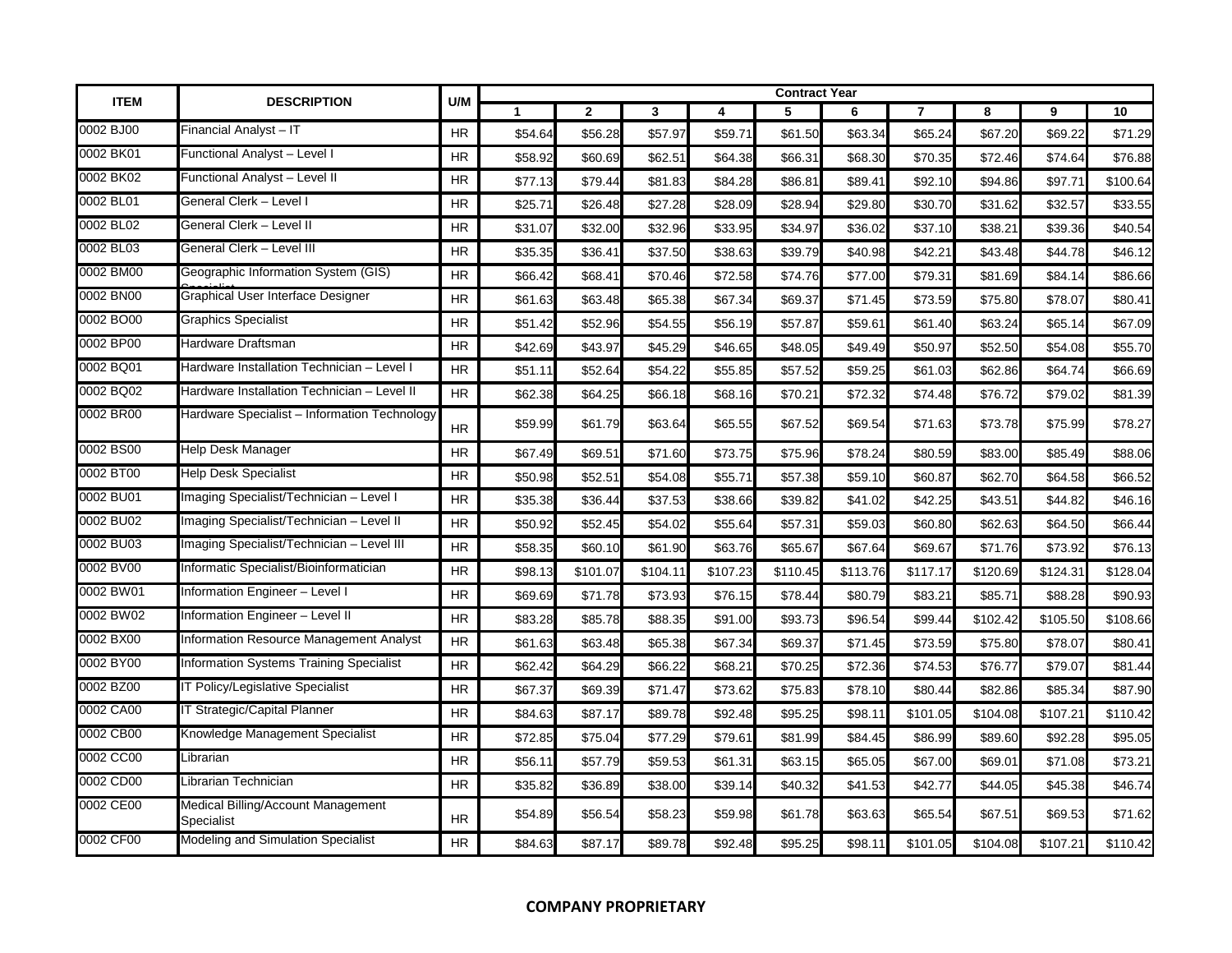| <b>ITEM</b> | <b>DESCRIPTION</b>                               | U/M       |             |                |                         |          | <b>Contract Year</b> |          |          |          |          |          |
|-------------|--------------------------------------------------|-----------|-------------|----------------|-------------------------|----------|----------------------|----------|----------|----------|----------|----------|
|             |                                                  |           | $\mathbf 1$ | $\overline{2}$ | $\overline{\mathbf{3}}$ | 4        | 5                    | 6        | 7        | 8        | 9        | 10       |
| 0002 BJ00   | Financial Analyst – IT                           | HR        | \$54.64     | \$56.28        | \$57.97                 | \$59.71  | \$61.50              | \$63.34  | \$65.24  | \$67.20  | \$69.22  | \$71.29  |
| 0002 BK01   | Functional Analyst - Level I                     | <b>HR</b> | \$58.92     | \$60.69        | \$62.51                 | \$64.38  | \$66.31              | \$68.30  | \$70.35  | \$72.46  | \$74.64  | \$76.88  |
| 0002 BK02   | Functional Analyst - Level II                    | <b>HR</b> | \$77.13     | \$79.44        | \$81.83                 | \$84.28  | \$86.81              | \$89.41  | \$92.10  | \$94.86  | \$97.71  | \$100.64 |
| 0002 BL01   | General Clerk – Level I                          | <b>HR</b> | \$25.71     | \$26.48        | \$27.28                 | \$28.09  | \$28.94              | \$29.80  | \$30.70  | \$31.62  | \$32.57  | \$33.55  |
| 0002 BL02   | General Clerk – Level II                         | HR        | \$31.07     | \$32.00        | \$32.96                 | \$33.95  | \$34.97              | \$36.02  | \$37.10  | \$38.21  | \$39.36  | \$40.54  |
| 0002 BL03   | General Clerk - Level III                        | <b>HR</b> | \$35.35     | \$36.41        | \$37.50                 | \$38.63  | \$39.79              | \$40.98  | \$42.21  | \$43.48  | \$44.78  | \$46.12  |
| 0002 BM00   | Geographic Information System (GIS)              | <b>HR</b> | \$66.42     | \$68.41        | \$70.46                 | \$72.58  | \$74.76              | \$77.00  | \$79.31  | \$81.69  | \$84.14  | \$86.66  |
| 0002 BN00   | Graphical User Interface Designer                | <b>HR</b> | \$61.63     | \$63.48        | \$65.38                 | \$67.34  | \$69.37              | \$71.45  | \$73.59  | \$75.80  | \$78.07  | \$80.41  |
| 0002 BO00   | Graphics Specialist                              | <b>HR</b> | \$51.42     | \$52.96        | \$54.55                 | \$56.19  | \$57.87              | \$59.6'  | \$61.40  | \$63.24  | \$65.14  | \$67.09  |
| 0002 BP00   | Hardware Draftsman                               | <b>HR</b> | \$42.69     | \$43.97        | \$45.29                 | \$46.65  | \$48.05              | \$49.49  | \$50.97  | \$52.50  | \$54.08  | \$55.70  |
| 0002 BQ01   | Hardware Installation Technician - Level I       | <b>HR</b> | \$51.1'     | \$52.64        | \$54.22                 | \$55.85  | \$57.52              | \$59.25  | \$61.03  | \$62.86  | \$64.74  | \$66.69  |
| 0002 BQ02   | Hardware Installation Technician – Level II      | <b>HR</b> | \$62.38     | \$64.25        | \$66.18                 | \$68.16  | \$70.21              | \$72.32  | \$74.48  | \$76.72  | \$79.02  | \$81.39  |
| 0002 BR00   | Hardware Specialist - Information Technology     | <b>HR</b> | \$59.99     | \$61.79        | \$63.64                 | \$65.55  | \$67.52              | \$69.54  | \$71.63  | \$73.78  | \$75.99  | \$78.27  |
| 0002 BS00   | Help Desk Manager                                | <b>HR</b> | \$67.49     | \$69.51        | \$71.60                 | \$73.75  | \$75.96              | \$78.24  | \$80.59  | \$83.00  | \$85.49  | \$88.06  |
| 0002 BT00   | Help Desk Specialist                             | HR.       | \$50.98     | \$52.51        | \$54.08                 | \$55.71  | \$57.38              | \$59.10  | \$60.87  | \$62.70  | \$64.58  | \$66.52  |
| 0002 BU01   | Imaging Specialist/Technician - Level I          | <b>HR</b> | \$35.38     | \$36.44        | \$37.53                 | \$38.66  | \$39.82              | \$41.02  | \$42.25  | \$43.51  | \$44.82  | \$46.16  |
| 0002 BU02   | Imaging Specialist/Technician - Level II         | <b>HR</b> | \$50.92     | \$52.45        | \$54.02                 | \$55.64  | \$57.31              | \$59.03  | \$60.80  | \$62.63  | \$64.50  | \$66.44  |
| 0002 BU03   | Imaging Specialist/Technician - Level III        | HR        | \$58.35     | \$60.10        | \$61.90                 | \$63.76  | \$65.67              | \$67.64  | \$69.67  | \$71.76  | \$73.92  | \$76.13  |
| 0002 BV00   | Informatic Specialist/Bioinformatician           | <b>HR</b> | \$98.13     | \$101.07       | \$104.11                | \$107.23 | \$110.45             | \$113.76 | \$117.17 | \$120.69 | \$124.31 | \$128.04 |
| 0002 BW01   | Information Engineer - Level I                   | <b>HR</b> | \$69.69     | \$71.78        | \$73.93                 | \$76.15  | \$78.44              | \$80.79  | \$83.21  | \$85.71  | \$88.28  | \$90.93  |
| 0002 BW02   | Information Engineer - Level II                  | <b>HR</b> | \$83.28     | \$85.78        | \$88.35                 | \$91.00  | \$93.73              | \$96.54  | \$99.44  | \$102.42 | \$105.50 | \$108.66 |
| 0002 BX00   | Information Resource Management Analyst          | <b>HR</b> | \$61.63     | \$63.48        | \$65.38                 | \$67.34  | \$69.37              | \$71.45  | \$73.59  | \$75.80  | \$78.07  | \$80.41  |
| 0002 BY00   | <b>Information Systems Training Specialist</b>   | <b>HR</b> | \$62.42     | \$64.29        | \$66.22                 | \$68.21  | \$70.25              | \$72.36  | \$74.53  | \$76.77  | \$79.07  | \$81.44  |
| 0002 BZ00   | IT Policy/Legislative Specialist                 | <b>HR</b> | \$67.37     | \$69.39        | \$71.47                 | \$73.62  | \$75.83              | \$78.10  | \$80.44  | \$82.86  | \$85.34  | \$87.90  |
| 0002 CA00   | IT Strategic/Capital Planner                     | <b>HR</b> | \$84.63     | \$87.17        | \$89.78                 | \$92.48  | \$95.25              | \$98.1'  | \$101.05 | \$104.08 | \$107.21 | \$110.42 |
| 0002 CB00   | Knowledge Management Specialist                  | HR        | \$72.85     | \$75.04        | \$77.29                 | \$79.61  | \$81.99              | \$84.45  | \$86.99  | \$89.60  | \$92.28  | \$95.05  |
| 0002 CC00   | Librarian                                        | <b>HR</b> | \$56.11     | \$57.79        | \$59.53                 | \$61.31  | \$63.15              | \$65.05  | \$67.00  | \$69.01  | \$71.08  | \$73.21  |
| 0002 CD00   | Librarian Technician                             | <b>HR</b> | \$35.82     | \$36.89        | \$38.00                 | \$39.14  | \$40.32              | \$41.53  | \$42.77  | \$44.05  | \$45.38  | \$46.74  |
| 0002 CE00   | Medical Billing/Account Management<br>Specialist | HR        | \$54.89     | \$56.54        | \$58.23                 | \$59.98  | \$61.78              | \$63.63  | \$65.54  | \$67.51  | \$69.53  | \$71.62  |
| 0002 CF00   | Modeling and Simulation Specialist               | HR.       | \$84.63     | \$87.17        | \$89.78                 | \$92.48  | \$95.25              | \$98.11  | \$101.05 | \$104.08 | \$107.21 | \$110.42 |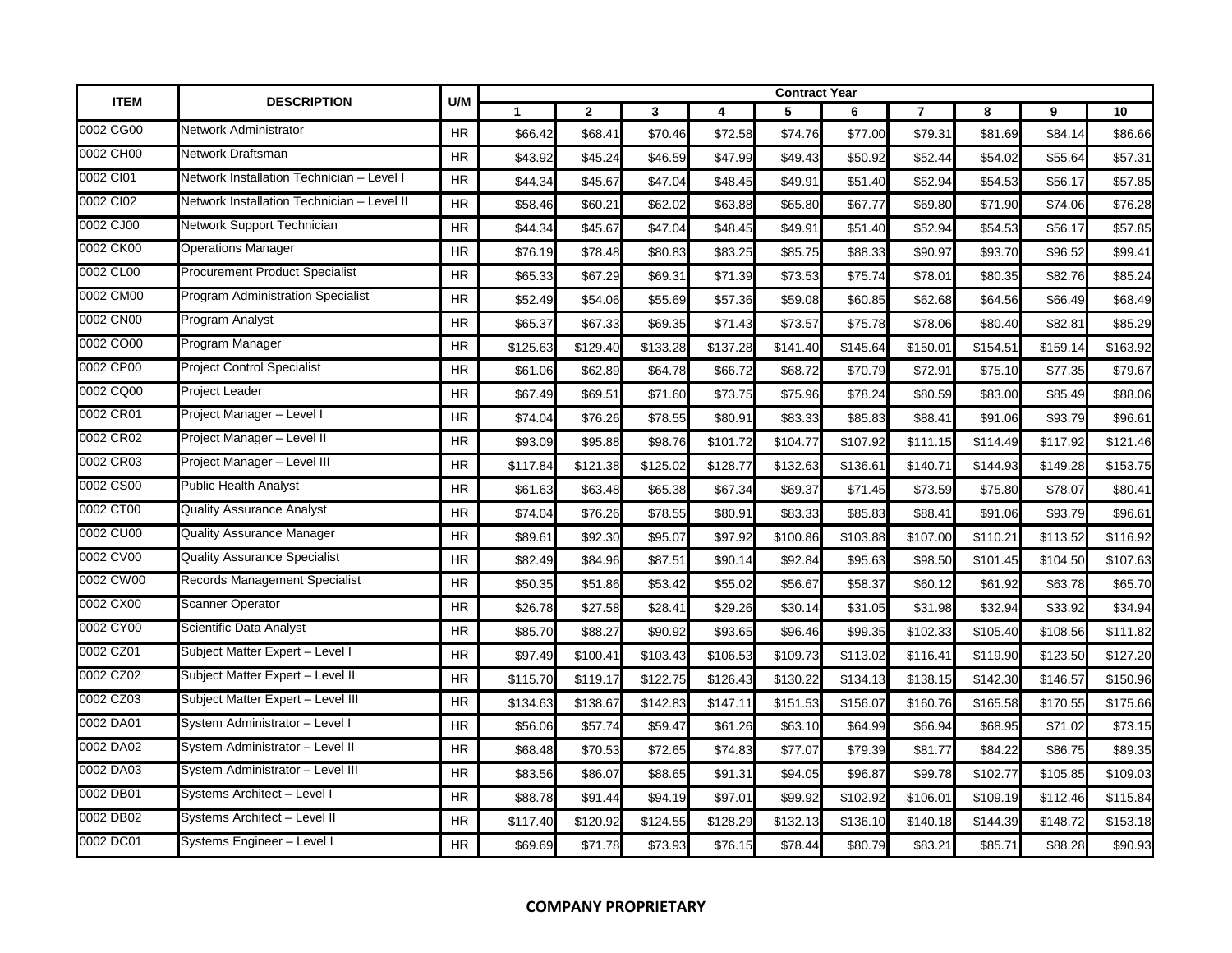| <b>ITEM</b> | <b>DESCRIPTION</b>                         | U/M       |              |                |              |          | <b>Contract Year</b> |          |                |          |          |          |
|-------------|--------------------------------------------|-----------|--------------|----------------|--------------|----------|----------------------|----------|----------------|----------|----------|----------|
|             |                                            |           | $\mathbf{1}$ | $\overline{2}$ | $\mathbf{3}$ | 4        | 5                    | 6        | $\overline{7}$ | 8        | 9        | 10       |
| 0002 CG00   | Network Administrator                      | <b>HR</b> | \$66.42      | \$68.41        | \$70.46      | \$72.58  | \$74.76              | \$77.00  | \$79.31        | \$81.69  | \$84.14  | \$86.66  |
| 0002 CH00   | Network Draftsman                          | <b>HR</b> | \$43.92      | \$45.24        | \$46.59      | \$47.99  | \$49.43              | \$50.92  | \$52.44        | \$54.02  | \$55.64  | \$57.31  |
| 0002 CI01   | Network Installation Technician - Level I  | <b>HR</b> | \$44.34      | \$45.67        | \$47.04      | \$48.45  | \$49.91              | \$51.40  | \$52.94        | \$54.53  | \$56.17  | \$57.85  |
| 0002 CI02   | Network Installation Technician - Level II | <b>HR</b> | \$58.46      | \$60.21        | \$62.02      | \$63.88  | \$65.80              | \$67.77  | \$69.80        | \$71.90  | \$74.06  | \$76.28  |
| 0002 CJ00   | Network Support Technician                 | <b>HR</b> | \$44.34      | \$45.67        | \$47.04      | \$48.45  | \$49.91              | \$51.40  | \$52.94        | \$54.53  | \$56.17  | \$57.85  |
| 0002 CK00   | <b>Operations Manager</b>                  | <b>HR</b> | \$76.19      | \$78.48        | \$80.83      | \$83.25  | \$85.75              | \$88.33  | \$90.97        | \$93.70  | \$96.52  | \$99.41  |
| 0002 CL00   | <b>Procurement Product Specialist</b>      | HR        | \$65.33      | \$67.29        | \$69.31      | \$71.39  | \$73.53              | \$75.74  | \$78.01        | \$80.35  | \$82.76  | \$85.24  |
| 0002 CM00   | <b>Program Administration Specialist</b>   | <b>HR</b> | \$52.49      | \$54.06        | \$55.69      | \$57.36  | \$59.08              | \$60.85  | \$62.68        | \$64.56  | \$66.49  | \$68.49  |
| 0002 CN00   | Program Analyst                            | <b>HR</b> | \$65.37      | \$67.33        | \$69.35      | \$71.43  | \$73.57              | \$75.78  | \$78.06        | \$80.40  | \$82.81  | \$85.29  |
| 0002 CO00   | Program Manager                            | HR        | \$125.63     | \$129.40       | \$133.28     | \$137.28 | \$141.40             | \$145.64 | \$150.01       | \$154.51 | \$159.14 | \$163.92 |
| 0002 CP00   | <b>Project Control Specialist</b>          | <b>HR</b> | \$61.06      | \$62.89        | \$64.78      | \$66.72  | \$68.72              | \$70.79  | \$72.91        | \$75.10  | \$77.35  | \$79.67  |
| 0002 CQ00   | Project Leader                             | HR        | \$67.49      | \$69.51        | \$71.60      | \$73.75  | \$75.96              | \$78.24  | \$80.59        | \$83.00  | \$85.49  | \$88.06  |
| 0002 CR01   | Project Manager - Level I                  | <b>HR</b> | \$74.04      | \$76.26        | \$78.55      | \$80.91  | \$83.33              | \$85.83  | \$88.41        | \$91.06  | \$93.79  | \$96.61  |
| 0002 CR02   | Project Manager - Level II                 | <b>HR</b> | \$93.09      | \$95.88        | \$98.76      | \$101.72 | \$104.77             | \$107.92 | \$111.15       | \$114.49 | \$117.92 | \$121.46 |
| 0002 CR03   | Project Manager - Level III                | <b>HR</b> | \$117.84     | \$121.38       | \$125.02     | \$128.77 | \$132.63             | \$136.61 | \$140.71       | \$144.93 | \$149.28 | \$153.75 |
| 0002 CS00   | <b>Public Health Analyst</b>               | <b>HR</b> | \$61.63      | \$63.48        | \$65.38      | \$67.34  | \$69.37              | \$71.45  | \$73.59        | \$75.80  | \$78.07  | \$80.41  |
| 0002 CT00   | <b>Quality Assurance Analyst</b>           | <b>HR</b> | \$74.04      | \$76.26        | \$78.55      | \$80.91  | \$83.33              | \$85.83  | \$88.41        | \$91.06  | \$93.79  | \$96.61  |
| 0002 CU00   | <b>Quality Assurance Manager</b>           | <b>HR</b> | \$89.61      | \$92.30        | \$95.07      | \$97.92  | \$100.86             | \$103.88 | \$107.00       | \$110.21 | \$113.52 | \$116.92 |
| 0002 CV00   | <b>Quality Assurance Specialist</b>        | <b>HR</b> | \$82.49      | \$84.96        | \$87.51      | \$90.14  | \$92.84              | \$95.63  | \$98.50        | \$101.45 | \$104.50 | \$107.63 |
| 0002 CW00   | Records Management Specialist              | <b>HR</b> | \$50.35      | \$51.86        | \$53.42      | \$55.02  | \$56.67              | \$58.37  | \$60.12        | \$61.92  | \$63.78  | \$65.70  |
| 0002 CX00   | <b>Scanner Operator</b>                    | <b>HR</b> | \$26.78      | \$27.58        | \$28.41      | \$29.26  | \$30.14              | \$31.05  | \$31.98        | \$32.94  | \$33.92  | \$34.94  |
| 0002 CY00   | Scientific Data Analyst                    | <b>HR</b> | \$85.70      | \$88.27        | \$90.92      | \$93.65  | \$96.46              | \$99.35  | \$102.33       | \$105.40 | \$108.56 | \$111.82 |
| 0002 CZ01   | Subject Matter Expert - Level I            | <b>HR</b> | \$97.49      | \$100.41       | \$103.43     | \$106.53 | \$109.73             | \$113.02 | \$116.41       | \$119.90 | \$123.50 | \$127.20 |
| 0002 CZ02   | Subject Matter Expert - Level II           | <b>HR</b> | \$115.70     | \$119.17       | \$122.75     | \$126.43 | \$130.22             | \$134.13 | \$138.15       | \$142.30 | \$146.57 | \$150.96 |
| 0002 CZ03   | Subject Matter Expert - Level III          | <b>HR</b> | \$134.63     | \$138.67       | \$142.83     | \$147.11 | \$151.53             | \$156.07 | \$160.76       | \$165.58 | \$170.55 | \$175.66 |
| 0002 DA01   | System Administrator - Level I             | <b>HR</b> | \$56.06      | \$57.74        | \$59.47      | \$61.26  | \$63.10              | \$64.99  | \$66.94        | \$68.95  | \$71.02  | \$73.15  |
| 0002 DA02   | System Administrator - Level II            | HR.       | \$68.48      | \$70.53        | \$72.65      | \$74.83  | \$77.07              | \$79.39  | \$81.77        | \$84.22  | \$86.75  | \$89.35  |
| 0002 DA03   | System Administrator - Level III           | <b>HR</b> | \$83.56      | \$86.07        | \$88.65      | \$91.31  | \$94.05              | \$96.87  | \$99.78        | \$102.77 | \$105.85 | \$109.03 |
| 0002 DB01   | Systems Architect - Level I                | HR        | \$88.78      | \$91.44        | \$94.19      | \$97.01  | \$99.92              | \$102.92 | \$106.01       | \$109.19 | \$112.46 | \$115.84 |
| 0002 DB02   | Systems Architect - Level II               | <b>HR</b> | \$117.40     | \$120.92       | \$124.55     | \$128.29 | \$132.13             | \$136.10 | \$140.18       | \$144.39 | \$148.72 | \$153.18 |
| 0002 DC01   | Systems Engineer - Level I                 | <b>HR</b> | \$69.69      | \$71.78        | \$73.93      | \$76.15  | \$78.44              | \$80.79  | \$83.21        | \$85.71  | \$88.28  | \$90.93  |

## **COMPANY PROPRIETARY**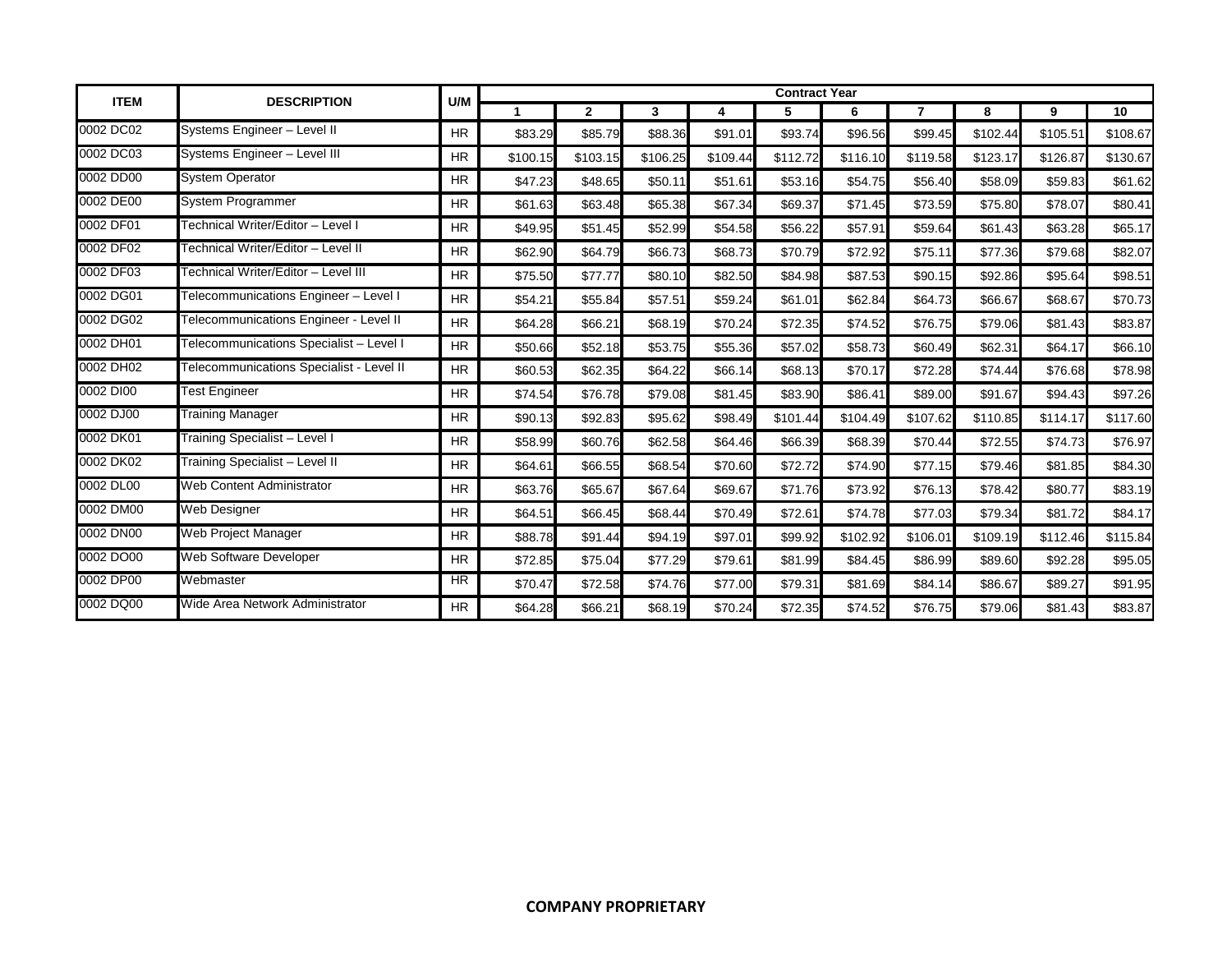| <b>ITEM</b> | <b>DESCRIPTION</b>                       | <b>Contract Year</b><br>U/M |          |                |              |          |          |          |                |          |          |          |
|-------------|------------------------------------------|-----------------------------|----------|----------------|--------------|----------|----------|----------|----------------|----------|----------|----------|
|             |                                          |                             | 1        | $\overline{2}$ | $\mathbf{3}$ | 4        | 5        | 6        | $\overline{7}$ | 8        | 9        | 10       |
| 0002 DC02   | Systems Engineer - Level II              | <b>HR</b>                   | \$83.29  | \$85.79        | \$88.36      | \$91.01  | \$93.74  | \$96.56  | \$99.45        | \$102.44 | \$105.51 | \$108.67 |
| 0002 DC03   | Systems Engineer - Level III             | <b>HR</b>                   | \$100.15 | \$103.15       | \$106.25     | \$109.44 | \$112.72 | \$116.10 | \$119.58       | \$123.17 | \$126.87 | \$130.67 |
| 0002 DD00   | <b>System Operator</b>                   | <b>HR</b>                   | \$47.23  | \$48.65        | \$50.11      | \$51.61  | \$53.16  | \$54.75  | \$56.40        | \$58.09  | \$59.83  | \$61.62  |
| 0002 DE00   | System Programmer                        | <b>HR</b>                   | \$61.63  | \$63.48        | \$65.38      | \$67.34  | \$69.37  | \$71.45  | \$73.59        | \$75.80  | \$78.07  | \$80.41  |
| 0002 DF01   | Technical Writer/Editor - Level I        | <b>HR</b>                   | \$49.95  | \$51.45        | \$52.99      | \$54.58  | \$56.22  | \$57.91  | \$59.64        | \$61.43  | \$63.28  | \$65.17  |
| 0002 DF02   | Technical Writer/Editor - Level II       | <b>HR</b>                   | \$62.90  | \$64.79        | \$66.73      | \$68.73  | \$70.79  | \$72.92  | \$75.11        | \$77.36  | \$79.68  | \$82.07  |
| 0002 DF03   | Technical Writer/Editor – Level III      | <b>HR</b>                   | \$75.50  | \$77.77        | \$80.10      | \$82.50  | \$84.98  | \$87.53  | \$90.15        | \$92.86  | \$95.64  | \$98.51  |
| 0002 DG01   | Telecommunications Engineer - Level I    | <b>HR</b>                   | \$54.21  | \$55.84        | \$57.51      | \$59.24  | \$61.01  | \$62.84  | \$64.73        | \$66.67  | \$68.67  | \$70.73  |
| 0002 DG02   | Telecommunications Engineer - Level II   | <b>HR</b>                   | \$64.28  | \$66.21        | \$68.19      | \$70.24  | \$72.35  | \$74.52  | \$76.75        | \$79.06  | \$81.43  | \$83.87  |
| 0002 DH01   | Telecommunications Specialist - Level I  | <b>HR</b>                   | \$50.66  | \$52.18        | \$53.75      | \$55.36  | \$57.02  | \$58.73  | \$60.49        | \$62.31  | \$64.17  | \$66.10  |
| 0002 DH02   | Telecommunications Specialist - Level II | <b>HR</b>                   | \$60.53  | \$62.35        | \$64.22      | \$66.14  | \$68.13  | \$70.17  | \$72.28        | \$74.44  | \$76.68  | \$78.98  |
| 0002 DI00   | <b>Test Engineer</b>                     | <b>HR</b>                   | \$74.54  | \$76.78        | \$79.08      | \$81.45  | \$83.90  | \$86.41  | \$89.00        | \$91.67  | \$94.43  | \$97.26  |
| 0002 DJ00   | Training Manager                         | <b>HR</b>                   | \$90.13  | \$92.83        | \$95.62      | \$98.49  | \$101.44 | \$104.49 | \$107.62       | \$110.85 | \$114.17 | \$117.60 |
| 0002 DK01   | Training Specialist - Level I            | <b>HR</b>                   | \$58.99  | \$60.76        | \$62.58      | \$64.46  | \$66.39  | \$68.39  | \$70.44        | \$72.55  | \$74.73  | \$76.97  |
| 0002 DK02   | Training Specialist - Level II           | <b>HR</b>                   | \$64.61  | \$66.55        | \$68.54      | \$70.60  | \$72.72  | \$74.90  | \$77.15        | \$79.46  | \$81.85  | \$84.30  |
| 0002 DL00   | <b>Web Content Administrator</b>         | <b>HR</b>                   | \$63.76  | \$65.67        | \$67.64      | \$69.67  | \$71.76  | \$73.92  | \$76.13        | \$78.42  | \$80.77  | \$83.19  |
| 0002 DM00   | Web Designer                             | <b>HR</b>                   | \$64.51  | \$66.45        | \$68.44      | \$70.49  | \$72.61  | \$74.78  | \$77.03        | \$79.34  | \$81.72  | \$84.17  |
| 0002 DN00   | Web Project Manager                      | <b>HR</b>                   | \$88.78  | \$91.44        | \$94.19      | \$97.01  | \$99.92  | \$102.92 | \$106.01       | \$109.19 | \$112.46 | \$115.84 |
| 0002 DO00   | Web Software Developer                   | <b>HR</b>                   | \$72.85  | \$75.04        | \$77.29      | \$79.61  | \$81.99  | \$84.45  | \$86.99        | \$89.60  | \$92.28  | \$95.05  |
| 0002 DP00   | Webmaster                                | HR.                         | \$70.47  | \$72.58        | \$74.76      | \$77.00  | \$79.31  | \$81.69  | \$84.14        | \$86.67  | \$89.27  | \$91.95  |
| 0002 DQ00   | Wide Area Network Administrator          | <b>HR</b>                   | \$64.28  | \$66.21        | \$68.19      | \$70.24  | \$72.35  | \$74.52  | \$76.75        | \$79.06  | \$81.43  | \$83.87  |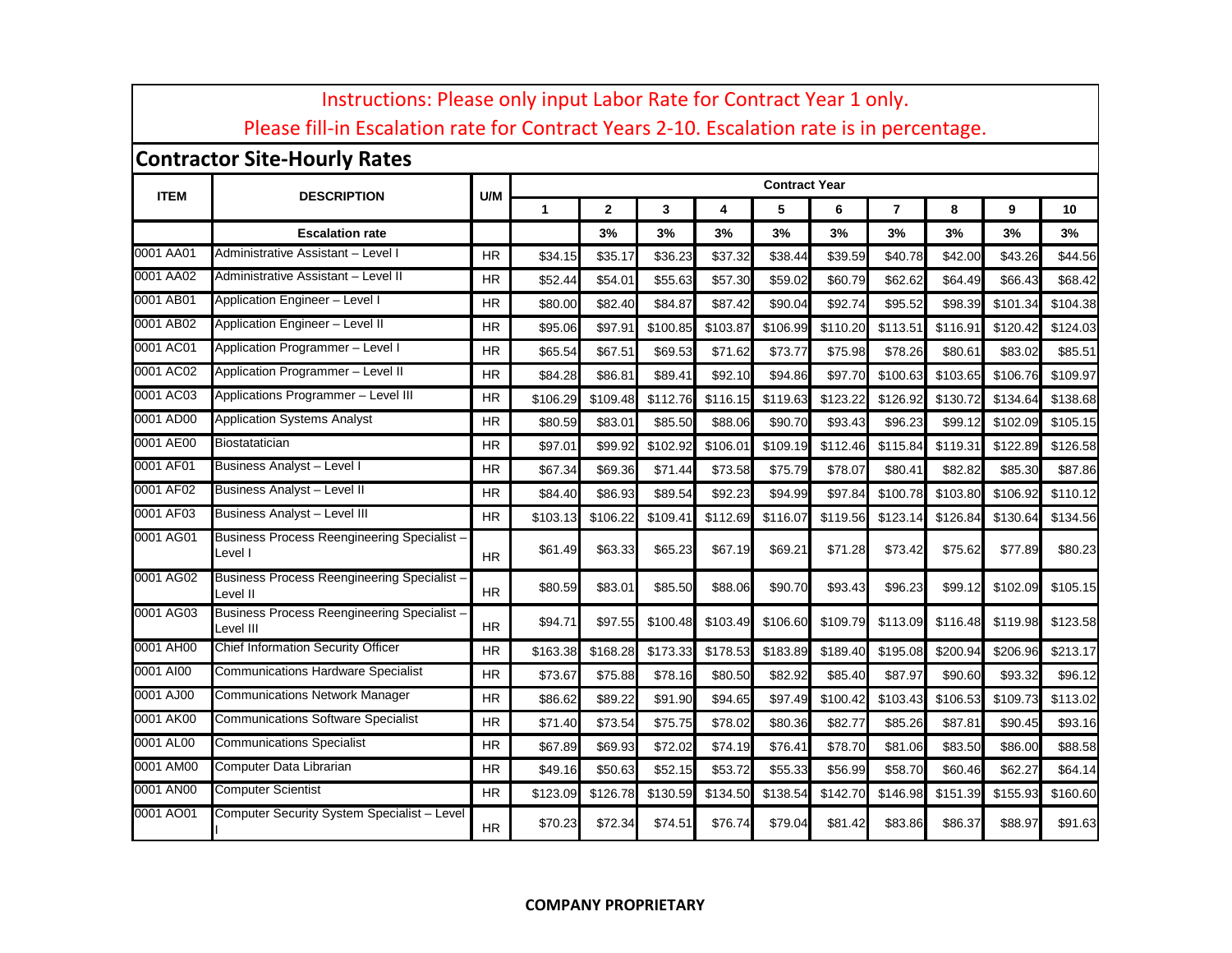|             | Instructions: Please only input Labor Rate for Contract Year 1 only.<br>Please fill-in Escalation rate for Contract Years 2-10. Escalation rate is in percentage. |           |          |              |          |          |                      |          |                |          |          |          |
|-------------|-------------------------------------------------------------------------------------------------------------------------------------------------------------------|-----------|----------|--------------|----------|----------|----------------------|----------|----------------|----------|----------|----------|
|             | <b>Contractor Site-Hourly Rates</b>                                                                                                                               |           |          |              |          |          |                      |          |                |          |          |          |
| <b>ITEM</b> |                                                                                                                                                                   | U/M       |          |              |          |          | <b>Contract Year</b> |          |                |          |          |          |
|             | <b>DESCRIPTION</b>                                                                                                                                                |           | 1        | $\mathbf{2}$ | 3        | 4        | 5                    | 6        | $\overline{7}$ | 8        | 9        | 10       |
|             | <b>Escalation rate</b>                                                                                                                                            |           |          | 3%           | 3%       | 3%       | 3%                   | 3%       | 3%             | 3%       | 3%       | 3%       |
| 0001 AA01   | Administrative Assistant - Level I                                                                                                                                | <b>HR</b> | \$34.15  | \$35.17      | \$36.23  | \$37.32  | \$38.44              | \$39.59  | \$40.78        | \$42.00  | \$43.26  | \$44.56  |
| 0001 AA02   | Administrative Assistant - Level II                                                                                                                               | <b>HR</b> | \$52.44  | \$54.01      | \$55.63  | \$57.30  | \$59.02              | \$60.79  | \$62.62        | \$64.49  | \$66.43  | \$68.42  |
| 0001 AB01   | Application Engineer - Level I                                                                                                                                    | HR        | \$80.00  | \$82.40      | \$84.87  | \$87.42  | \$90.04              | \$92.74  | \$95.52        | \$98.39  | \$101.34 | \$104.38 |
| 0001 AB02   | Application Engineer - Level II                                                                                                                                   | <b>HR</b> | \$95.06  | \$97.91      | \$100.85 | \$103.87 | \$106.99             | \$110.20 | \$113.51       | \$116.91 | \$120.42 | \$124.03 |
| 0001 AC01   | Application Programmer - Level I                                                                                                                                  | HR        | \$65.54  | \$67.51      | \$69.53  | \$71.62  | \$73.77              | \$75.98  | \$78.26        | \$80.61  | \$83.02  | \$85.51  |
| 0001 AC02   | Application Programmer - Level II                                                                                                                                 | <b>HR</b> | \$84.28  | \$86.81      | \$89.41  | \$92.10  | \$94.86              | \$97.70  | \$100.63       | \$103.65 | \$106.76 | \$109.97 |
| 0001 AC03   | Applications Programmer - Level III                                                                                                                               | <b>HR</b> | \$106.29 | \$109.48     | \$112.76 | \$116.15 | \$119.63             | \$123.22 | \$126.92       | \$130.72 | \$134.64 | \$138.68 |
| 0001 AD00   | <b>Application Systems Analyst</b>                                                                                                                                | HR        | \$80.59  | \$83.01      | \$85.50  | \$88.06  | \$90.70              | \$93.43  | \$96.23        | \$99.12  | \$102.09 | \$105.15 |
| 0001 AE00   | Biostatatician                                                                                                                                                    | HR        | \$97.01  | \$99.92      | \$102.92 | \$106.01 | \$109.19             | \$112.46 | \$115.84       | \$119.31 | \$122.89 | \$126.58 |
| 0001 AF01   | Business Analyst - Level I                                                                                                                                        | <b>HR</b> | \$67.34  | \$69.36      | \$71.44  | \$73.58  | \$75.79              | \$78.07  | \$80.41        | \$82.82  | \$85.30  | \$87.86  |
| 0001 AF02   | Business Analyst - Level II                                                                                                                                       | HR        | \$84.40  | \$86.93      | \$89.54  | \$92.23  | \$94.99              | \$97.84  | \$100.78       | \$103.80 | \$106.92 | \$110.12 |
| 0001 AF03   | <b>Business Analyst - Level III</b>                                                                                                                               | <b>HR</b> | \$103.13 | \$106.22     | \$109.41 | \$112.69 | \$116.07             | \$119.56 | \$123.14       | \$126.84 | \$130.64 | \$134.56 |
| 0001 AG01   | <b>Business Process Reengineering Specialist -</b><br>Level I                                                                                                     | HR        | \$61.49  | \$63.33      | \$65.23  | \$67.19  | \$69.21              | \$71.28  | \$73.42        | \$75.62  | \$77.89  | \$80.23  |
| 0001 AG02   | <b>Business Process Reengineering Specialist -</b><br>Level II                                                                                                    | HR.       | \$80.59  | \$83.01      | \$85.50  | \$88.06  | \$90.70              | \$93.43  | \$96.23        | \$99.12  | \$102.09 | \$105.15 |
| 0001 AG03   | <b>Business Process Reengineering Specialist -</b><br>Level III                                                                                                   | <b>HR</b> | \$94.71  | \$97.55      | \$100.48 | \$103.49 | \$106.60             | \$109.79 | \$113.09       | \$116.48 | \$119.98 | \$123.58 |
| 0001 AH00   | Chief Information Security Officer                                                                                                                                | <b>HR</b> | \$163.38 | \$168.28     | \$173.33 | \$178.53 | \$183.89             | \$189.40 | \$195.08       | \$200.94 | \$206.96 | \$213.17 |
| 0001 AI00   | <b>Communications Hardware Specialist</b>                                                                                                                         | <b>HR</b> | \$73.67  | \$75.88      | \$78.16  | \$80.50  | \$82.92              | \$85.40  | \$87.97        | \$90.60  | \$93.32  | \$96.12  |
| 0001 AJ00   | <b>Communications Network Manager</b>                                                                                                                             | ΗR        | \$86.62  | \$89.22      | \$91.90  | \$94.65  | \$97.49              | \$100.42 | \$103.43       | \$106.53 | \$109.73 | \$113.02 |
| 0001 AK00   | <b>Communications Software Specialist</b>                                                                                                                         | HR        | \$71.40  | \$73.54      | \$75.75  | \$78.02  | \$80.36              | \$82.77  | \$85.26        | \$87.81  | \$90.45  | \$93.16  |
| 0001 AL00   | <b>Communications Specialist</b>                                                                                                                                  | HR        | \$67.89  | \$69.93      | \$72.02  | \$74.19  | \$76.41              | \$78.70  | \$81.06        | \$83.50  | \$86.00  | \$88.58  |
| 0001 AM00   | Computer Data Librarian                                                                                                                                           | ΗR        | \$49.16  | \$50.63      | \$52.15  | \$53.72  | \$55.33              | \$56.99  | \$58.70        | \$60.46  | \$62.27  | \$64.14  |
| 0001 AN00   | <b>Computer Scientist</b>                                                                                                                                         | <b>HR</b> | \$123.09 | \$126.78     | \$130.59 | \$134.50 | \$138.54             | \$142.70 | \$146.98       | \$151.39 | \$155.93 | \$160.60 |
| 0001 AO01   | Computer Security System Specialist - Level                                                                                                                       | <b>HR</b> | \$70.23  | \$72.34      | \$74.51  | \$76.74  | \$79.04              | \$81.42  | \$83.86        | \$86.37  | \$88.97  | \$91.63  |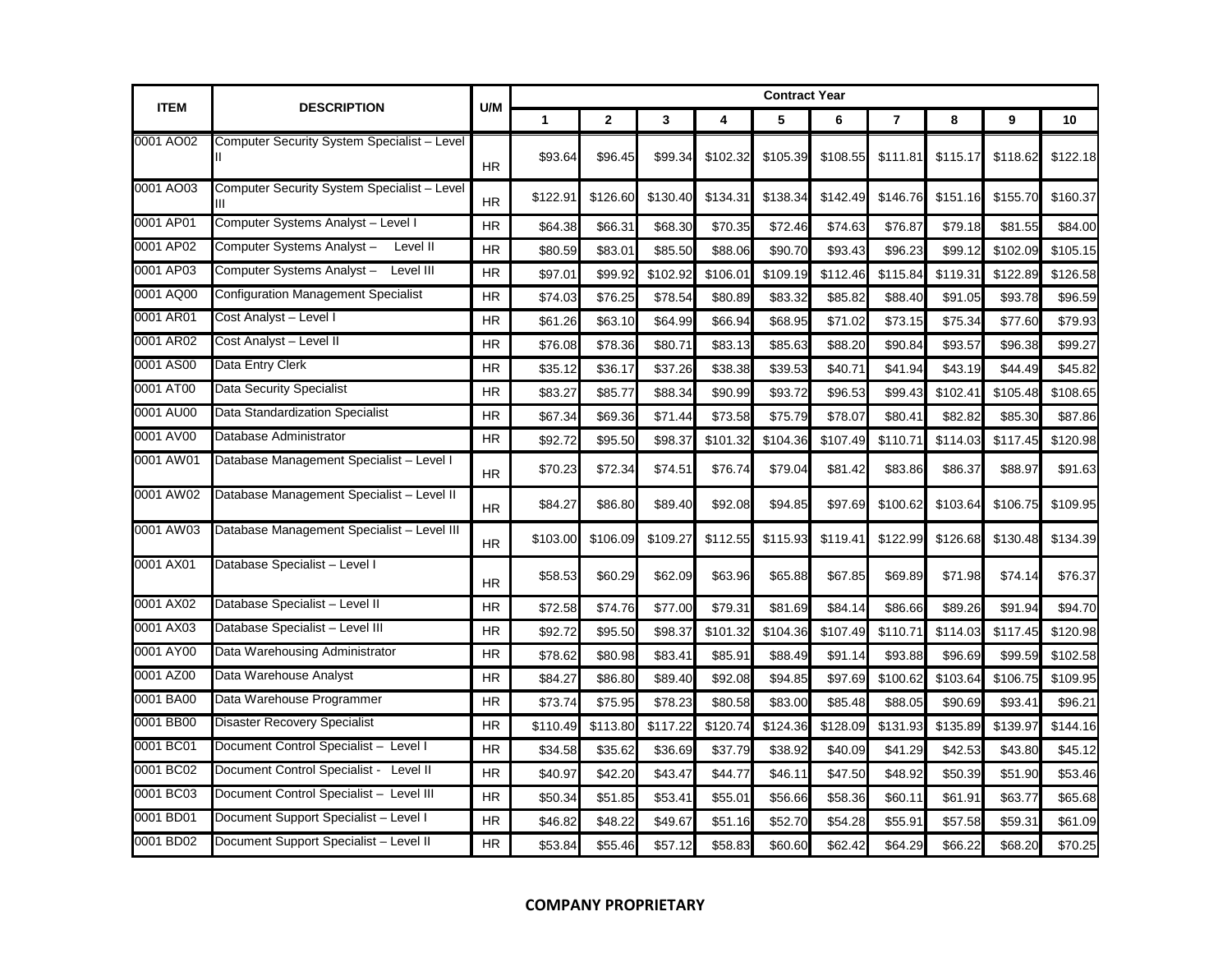|             |                                             |           | <b>Contract Year</b> |                |          |          |          |          |                |          |          |          |  |
|-------------|---------------------------------------------|-----------|----------------------|----------------|----------|----------|----------|----------|----------------|----------|----------|----------|--|
| <b>ITEM</b> | <b>DESCRIPTION</b>                          | U/M       | $\blacktriangleleft$ | $\overline{2}$ | 3        | 4        | 5        | 6        | $\overline{7}$ | 8        | 9        | 10       |  |
| 0001 AO02   | Computer Security System Specialist - Level | <b>HR</b> | \$93.64              | \$96.45        | \$99.34  | \$102.32 | \$105.39 | \$108.55 | \$111.81       | \$115.17 | \$118.62 | \$122.18 |  |
| 0001 AO03   | Computer Security System Specialist - Level | <b>HR</b> | \$122.91             | \$126.60       | \$130.40 | \$134.31 | \$138.34 | \$142.49 | \$146.76       | \$151.16 | \$155.70 | \$160.37 |  |
| 0001 AP01   | Computer Systems Analyst - Level I          | <b>HR</b> | \$64.38              | \$66.31        | \$68.30  | \$70.35  | \$72.46  | \$74.63  | \$76.87        | \$79.18  | \$81.55  | \$84.00  |  |
| 0001 AP02   | Computer Systems Analyst-<br>Level II       | <b>HR</b> | \$80.59              | \$83.01        | \$85.50  | \$88.06  | \$90.70  | \$93.43  | \$96.23        | \$99.12  | \$102.09 | \$105.15 |  |
| 0001 AP03   | Computer Systems Analyst - Level III        | <b>HR</b> | \$97.01              | \$99.92        | \$102.92 | \$106.01 | \$109.19 | \$112.46 | \$115.84       | \$119.31 | \$122.89 | \$126.58 |  |
| 0001 AQ00   | <b>Configuration Management Specialist</b>  | <b>HR</b> | \$74.03              | \$76.25        | \$78.54  | \$80.89  | \$83.32  | \$85.82  | \$88.40        | \$91.05  | \$93.78  | \$96.59  |  |
| 0001 AR01   | Cost Analyst - Level I                      | HR.       | \$61.26              | \$63.10        | \$64.99  | \$66.94  | \$68.95  | \$71.02  | \$73.15        | \$75.34  | \$77.60  | \$79.93  |  |
| 0001 AR02   | Cost Analyst - Level II                     | HR        | \$76.08              | \$78.36        | \$80.71  | \$83.13  | \$85.63  | \$88.20  | \$90.84        | \$93.57  | \$96.38  | \$99.27  |  |
| 0001 AS00   | Data Entry Clerk                            | <b>HR</b> | \$35.12              | \$36.17        | \$37.26  | \$38.38  | \$39.53  | \$40.71  | \$41.94        | \$43.19  | \$44.49  | \$45.82  |  |
| 0001 AT00   | <b>Data Security Specialist</b>             | HR        | \$83.27              | \$85.77        | \$88.34  | \$90.99  | \$93.72  | \$96.53  | \$99.43        | \$102.41 | \$105.48 | \$108.65 |  |
| 0001 AU00   | Data Standardization Specialist             | <b>HR</b> | \$67.34              | \$69.36        | \$71.44  | \$73.58  | \$75.79  | \$78.07  | \$80.41        | \$82.82  | \$85.30  | \$87.86  |  |
| 0001 AV00   | Database Administrator                      | <b>HR</b> | \$92.72              | \$95.50        | \$98.37  | \$101.32 | \$104.36 | \$107.49 | \$110.71       | \$114.03 | \$117.45 | \$120.98 |  |
| 0001 AW01   | Database Management Specialist - Level I    | <b>HR</b> | \$70.23              | \$72.34        | \$74.51  | \$76.74  | \$79.04  | \$81.42  | \$83.86        | \$86.37  | \$88.97  | \$91.63  |  |
| 0001 AW02   | Database Management Specialist - Level II   | <b>HR</b> | \$84.27              | \$86.80        | \$89.40  | \$92.08  | \$94.85  | \$97.69  | \$100.62       | \$103.64 | \$106.75 | \$109.95 |  |
| 0001 AW03   | Database Management Specialist - Level III  | <b>HR</b> | \$103.00             | \$106.09       | \$109.27 | \$112.55 | \$115.93 | \$119.41 | \$122.99       | \$126.68 | \$130.48 | \$134.39 |  |
| 0001 AX01   | Database Specialist - Level I               | <b>HR</b> | \$58.53              | \$60.29        | \$62.09  | \$63.96  | \$65.88  | \$67.85  | \$69.89        | \$71.98  | \$74.14  | \$76.37  |  |
| 0001 AX02   | Database Specialist - Level II              | <b>HR</b> | \$72.58              | \$74.76        | \$77.00  | \$79.31  | \$81.69  | \$84.14  | \$86.66        | \$89.26  | \$91.94  | \$94.70  |  |
| 0001 AX03   | Database Specialist - Level III             | <b>HR</b> | \$92.72              | \$95.50        | \$98.37  | \$101.32 | \$104.36 | \$107.49 | \$110.71       | \$114.03 | \$117.45 | \$120.98 |  |
| 0001 AY00   | Data Warehousing Administrator              | <b>HR</b> | \$78.62              | \$80.98        | \$83.41  | \$85.91  | \$88.49  | \$91.14  | \$93.88        | \$96.69  | \$99.59  | \$102.58 |  |
| 0001 AZ00   | Data Warehouse Analyst                      | HR.       | \$84.27              | \$86.80        | \$89.40  | \$92.08  | \$94.85  | \$97.69  | \$100.62       | \$103.64 | \$106.75 | \$109.95 |  |
| 0001 BA00   | Data Warehouse Programmer                   | HR        | \$73.74              | \$75.95        | \$78.23  | \$80.58  | \$83.00  | \$85.48  | \$88.05        | \$90.69  | \$93.41  | \$96.21  |  |
| 0001 BB00   | <b>Disaster Recovery Specialist</b>         | HR.       | \$110.49             | \$113.80       | \$117.22 | \$120.7  | \$124.36 | \$128.09 | \$131.93       | \$135.89 | \$139.97 | \$144.16 |  |
| 0001 BC01   | Document Control Specialist - Level I       | <b>HR</b> | \$34.58              | \$35.62        | \$36.69  | \$37.79  | \$38.92  | \$40.09  | \$41.29        | \$42.53  | \$43.80  | \$45.12  |  |
| 0001 BC02   | Document Control Specialist - Level II      | <b>HR</b> | \$40.97              | \$42.20        | \$43.47  | \$44.77  | \$46.11  | \$47.50  | \$48.92        | \$50.39  | \$51.90  | \$53.46  |  |
| 0001 BC03   | Document Control Specialist - Level III     | HR        | \$50.34              | \$51.85        | \$53.41  | \$55.01  | \$56.66  | \$58.36  | \$60.11        | \$61.91  | \$63.77  | \$65.68  |  |
| 0001 BD01   | Document Support Specialist - Level I       | <b>HR</b> | \$46.82              | \$48.22        | \$49.67  | \$51.16  | \$52.70  | \$54.28  | \$55.91        | \$57.58  | \$59.31  | \$61.09  |  |
| 0001 BD02   | Document Support Specialist - Level II      | <b>HR</b> | \$53.84              | \$55.46        | \$57.12  | \$58.83  | \$60.60  | \$62.42  | \$64.29        | \$66.22  | \$68.20  | \$70.25  |  |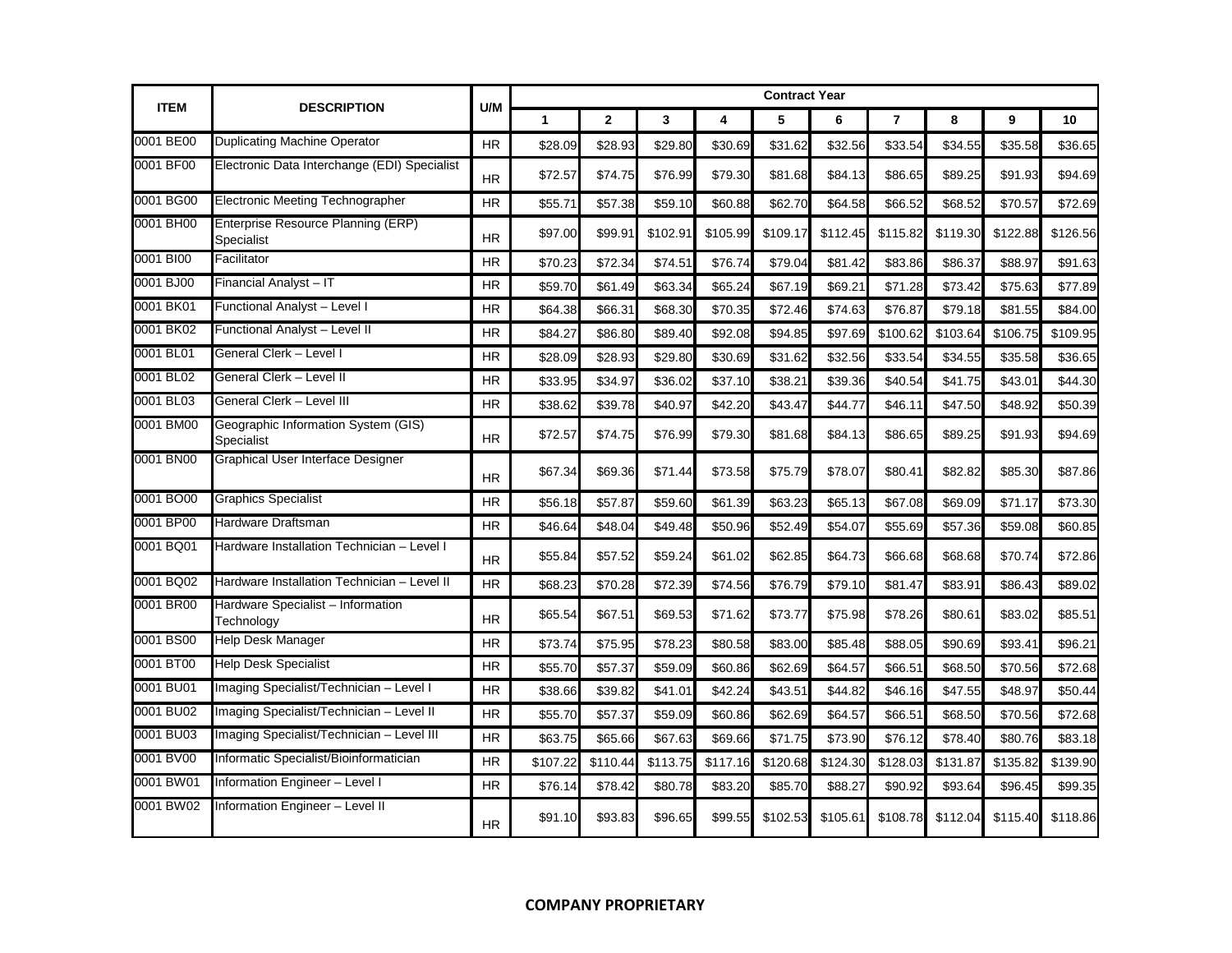| <b>ITEM</b> |                                                   | U/M       |              |              |          |          | <b>Contract Year</b> |          |                |          |          |          |
|-------------|---------------------------------------------------|-----------|--------------|--------------|----------|----------|----------------------|----------|----------------|----------|----------|----------|
|             | <b>DESCRIPTION</b>                                |           | $\mathbf{1}$ | $\mathbf{2}$ | 3        | 4        | 5                    | 6        | $\overline{7}$ | 8        | 9        | 10       |
| 0001 BE00   | <b>Duplicating Machine Operator</b>               | HR.       | \$28.09      | \$28.93      | \$29.80  | \$30.69  | \$31.62              | \$32.56  | \$33.54        | \$34.55  | \$35.58  | \$36.65  |
| 0001 BF00   | Electronic Data Interchange (EDI) Specialist      | <b>HR</b> | \$72.57      | \$74.75      | \$76.99  | \$79.30  | \$81.68              | \$84.13  | \$86.65        | \$89.25  | \$91.93  | \$94.69  |
| 0001 BG00   | Electronic Meeting Technographer                  | <b>HR</b> | \$55.71      | \$57.38      | \$59.10  | \$60.88  | \$62.70              | \$64.58  | \$66.52        | \$68.52  | \$70.57  | \$72.69  |
| 0001 BH00   | Enterprise Resource Planning (ERP)<br>Specialist  | <b>HR</b> | \$97.00      | \$99.91      | \$102.91 | \$105.99 | \$109.17             | \$112.45 | \$115.82       | \$119.30 | \$122.88 | \$126.56 |
| 0001 BI00   | Facilitator                                       | <b>HR</b> | \$70.23      | \$72.34      | \$74.51  | \$76.74  | \$79.04              | \$81.42  | \$83.86        | \$86.37  | \$88.97  | \$91.63  |
| 0001 BJ00   | Financial Analyst - IT                            | <b>HR</b> | \$59.70      | \$61.49      | \$63.34  | \$65.24  | \$67.19              | \$69.21  | \$71.28        | \$73.42  | \$75.63  | \$77.89  |
| 0001 BK01   | Functional Analyst - Level I                      | <b>HR</b> | \$64.38      | \$66.31      | \$68.30  | \$70.35  | \$72.46              | \$74.63  | \$76.87        | \$79.18  | \$81.55  | \$84.00  |
| 0001 BK02   | Functional Analyst - Level II                     | <b>HR</b> | \$84.27      | \$86.80      | \$89.40  | \$92.08  | \$94.85              | \$97.69  | \$100.62       | \$103.64 | \$106.75 | \$109.95 |
| 0001 BL01   | General Clerk – Level I                           | <b>HR</b> | \$28.09      | \$28.93      | \$29.80  | \$30.69  | \$31.62              | \$32.56  | \$33.54        | \$34.55  | \$35.58  | \$36.65  |
| 0001 BL02   | General Clerk - Level II                          | <b>HR</b> | \$33.95      | \$34.97      | \$36.02  | \$37.10  | \$38.21              | \$39.36  | \$40.54        | \$41.75  | \$43.01  | \$44.30  |
| 0001 BL03   | General Clerk - Level III                         | <b>HR</b> | \$38.62      | \$39.78      | \$40.97  | \$42.20  | \$43.47              | \$44.77  | \$46.11        | \$47.50  | \$48.92  | \$50.39  |
| 0001 BM00   | Geographic Information System (GIS)<br>Specialist | <b>HR</b> | \$72.57      | \$74.75      | \$76.99  | \$79.30  | \$81.68              | \$84.13  | \$86.65        | \$89.25  | \$91.93  | \$94.69  |
| 0001 BN00   | Graphical User Interface Designer                 | <b>HR</b> | \$67.34      | \$69.36      | \$71.44  | \$73.58  | \$75.79              | \$78.07  | \$80.41        | \$82.82  | \$85.30  | \$87.86  |
| 0001 BO00   | <b>Graphics Specialist</b>                        | HR.       | \$56.18      | \$57.87      | \$59.60  | \$61.39  | \$63.23              | \$65.13  | \$67.08        | \$69.09  | \$71.17  | \$73.30  |
| 0001 BP00   | Hardware Draftsman                                | <b>HR</b> | \$46.64      | \$48.04      | \$49.48  | \$50.96  | \$52.49              | \$54.07  | \$55.69        | \$57.36  | \$59.08  | \$60.85  |
| 0001 BQ01   | Hardware Installation Technician - Level I        | <b>HR</b> | \$55.84      | \$57.52      | \$59.24  | \$61.02  | \$62.85              | \$64.73  | \$66.68        | \$68.68  | \$70.74  | \$72.86  |
| 0001 BQ02   | Hardware Installation Technician - Level II       | <b>HR</b> | \$68.23      | \$70.28      | \$72.39  | \$74.56  | \$76.79              | \$79.10  | \$81.47        | \$83.91  | \$86.43  | \$89.02  |
| 0001 BR00   | Hardware Specialist - Information<br>Technology   | <b>HR</b> | \$65.54      | \$67.51      | \$69.53  | \$71.62  | \$73.77              | \$75.98  | \$78.26        | \$80.61  | \$83.02  | \$85.51  |
| 0001 BS00   | <b>Help Desk Manager</b>                          | <b>HR</b> | \$73.74      | \$75.95      | \$78.23  | \$80.58  | \$83.00              | \$85.48  | \$88.05        | \$90.69  | \$93.41  | \$96.21  |
| 0001 BT00   | <b>Help Desk Specialist</b>                       | <b>HR</b> | \$55.70      | \$57.37      | \$59.09  | \$60.86  | \$62.69              | \$64.57  | \$66.51        | \$68.50  | \$70.56  | \$72.68  |
| 0001 BU01   | Imaging Specialist/Technician - Level I           | <b>HR</b> | \$38.66      | \$39.82      | \$41.01  | \$42.24  | \$43.51              | \$44.82  | \$46.16        | \$47.55  | \$48.97  | \$50.44  |
| 0001 BU02   | Imaging Specialist/Technician - Level II          | <b>HR</b> | \$55.70      | \$57.37      | \$59.09  | \$60.86  | \$62.69              | \$64.57  | \$66.51        | \$68.50  | \$70.56  | \$72.68  |
| 0001 BU03   | Imaging Specialist/Technician - Level III         | <b>HR</b> | \$63.75      | \$65.66      | \$67.63  | \$69.66  | \$71.75              | \$73.90  | \$76.12        | \$78.40  | \$80.76  | \$83.18  |
| 0001 BV00   | Informatic Specialist/Bioinformatician            | <b>HR</b> | \$107.22     | \$110.44     | \$113.75 | \$117.16 | \$120.68             | \$124.30 | \$128.03       | \$131.87 | \$135.82 | \$139.90 |
| 0001 BW01   | Information Engineer - Level I                    | <b>HR</b> | \$76.14      | \$78.42      | \$80.78  | \$83.20  | \$85.70              | \$88.27  | \$90.92        | \$93.64  | \$96.45  | \$99.35  |
| 0001 BW02   | Information Engineer - Level II                   | <b>HR</b> | \$91.10      | \$93.83      | \$96.65  | \$99.55  | \$102.53             | \$105.61 | \$108.78       | \$112.04 | \$115.40 | \$118.86 |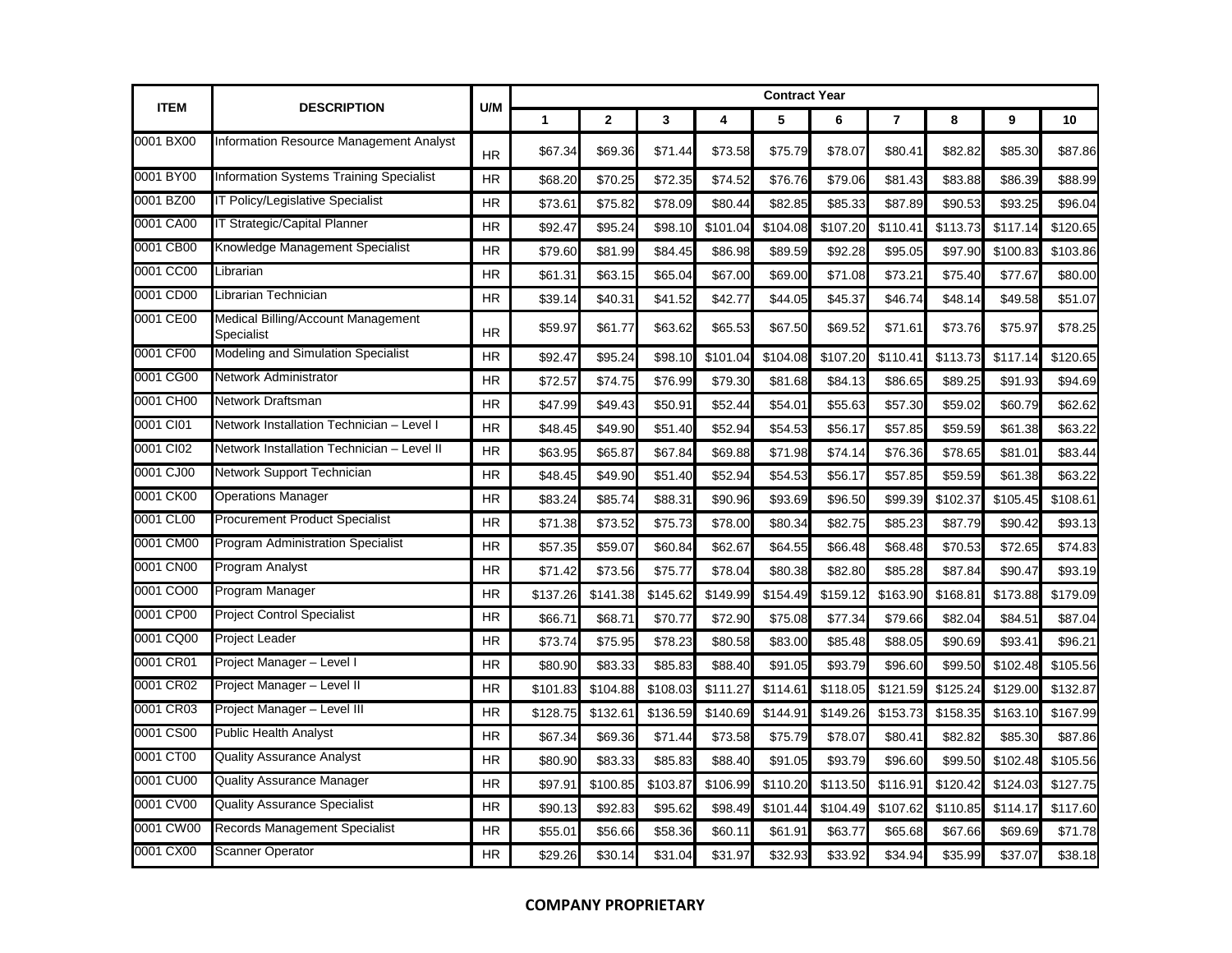| <b>ITEM</b> | <b>DESCRIPTION</b>                               | U/M       |          |              |          |          | <b>Contract Year</b> |          |          |          |          |          |
|-------------|--------------------------------------------------|-----------|----------|--------------|----------|----------|----------------------|----------|----------|----------|----------|----------|
|             |                                                  |           | 1        | $\mathbf{2}$ | 3        | 4        | 5                    | 6        | 7        | 8        | 9        | 10       |
| 0001 BX00   | Information Resource Management Analyst          | <b>HR</b> | \$67.34  | \$69.36      | \$71.44  | \$73.58  | \$75.79              | \$78.07  | \$80.41  | \$82.82  | \$85.30  | \$87.86  |
| 0001 BY00   | Information Systems Training Specialist          | <b>HR</b> | \$68.20  | \$70.25      | \$72.35  | \$74.52  | \$76.76              | \$79.06  | \$81.43  | \$83.88  | \$86.39  | \$88.99  |
| 0001 BZ00   | IT Policy/Legislative Specialist                 | <b>HR</b> | \$73.61  | \$75.82      | \$78.09  | \$80.44  | \$82.85              | \$85.33  | \$87.89  | \$90.53  | \$93.25  | \$96.04  |
| 0001 CA00   | IT Strategic/Capital Planner                     | <b>HR</b> | \$92.47  | \$95.24      | \$98.10  | \$101.04 | \$104.08             | \$107.20 | \$110.41 | \$113.73 | \$117.14 | \$120.65 |
| 0001 CB00   | Knowledge Management Specialist                  | HR        | \$79.60  | \$81.99      | \$84.45  | \$86.98  | \$89.59              | \$92.28  | \$95.05  | \$97.90  | \$100.83 | \$103.86 |
| 0001 CC00   | Librarian                                        | <b>HR</b> | \$61.31  | \$63.15      | \$65.04  | \$67.00  | \$69.00              | \$71.08  | \$73.21  | \$75.40  | \$77.67  | \$80.00  |
| 0001 CD00   | Librarian Technician                             | HR        | \$39.14  | \$40.31      | \$41.52  | \$42.77  | \$44.05              | \$45.37  | \$46.74  | \$48.14  | \$49.58  | \$51.07  |
| 0001 CE00   | Medical Billing/Account Management<br>Specialist | <b>HR</b> | \$59.97  | \$61.77      | \$63.62  | \$65.53  | \$67.50              | \$69.52  | \$71.61  | \$73.76  | \$75.97  | \$78.25  |
| 0001 CF00   | Modeling and Simulation Specialist               | <b>HR</b> | \$92.47  | \$95.24      | \$98.10  | \$101.04 | \$104.08             | \$107.20 | \$110.41 | \$113.73 | \$117.14 | \$120.65 |
| 0001 CG00   | Network Administrator                            | <b>HR</b> | \$72.57  | \$74.75      | \$76.99  | \$79.30  | \$81.68              | \$84.13  | \$86.65  | \$89.25  | \$91.93  | \$94.69  |
| 0001 CH00   | Network Draftsman                                | <b>HR</b> | \$47.99  | \$49.43      | \$50.91  | \$52.44  | \$54.01              | \$55.63  | \$57.30  | \$59.02  | \$60.79  | \$62.62  |
| 0001 CI01   | Network Installation Technician - Level I        | <b>HR</b> | \$48.45  | \$49.90      | \$51.40  | \$52.94  | \$54.53              | \$56.17  | \$57.85  | \$59.59  | \$61.38  | \$63.22  |
| 0001 CI02   | Network Installation Technician - Level II       | <b>HR</b> | \$63.95  | \$65.87      | \$67.84  | \$69.88  | \$71.98              | \$74.14  | \$76.36  | \$78.65  | \$81.01  | \$83.44  |
| 0001 CJ00   | Network Support Technician                       | <b>HR</b> | \$48.45  | \$49.90      | \$51.40  | \$52.94  | \$54.53              | \$56.17  | \$57.85  | \$59.59  | \$61.38  | \$63.22  |
| 0001 CK00   | <b>Operations Manager</b>                        | <b>HR</b> | \$83.24  | \$85.74      | \$88.31  | \$90.96  | \$93.69              | \$96.50  | \$99.39  | \$102.37 | \$105.45 | \$108.61 |
| 0001 CL00   | <b>Procurement Product Specialist</b>            | <b>HR</b> | \$71.38  | \$73.52      | \$75.73  | \$78.00  | \$80.34              | \$82.75  | \$85.23  | \$87.79  | \$90.42  | \$93.13  |
| 0001 CM00   | <b>Program Administration Specialist</b>         | HR        | \$57.35  | \$59.07      | \$60.84  | \$62.67  | \$64.55              | \$66.48  | \$68.48  | \$70.53  | \$72.65  | \$74.83  |
| 0001 CN00   | Program Analyst                                  | <b>HR</b> | \$71.42  | \$73.56      | \$75.77  | \$78.04  | \$80.38              | \$82.80  | \$85.28  | \$87.84  | \$90.47  | \$93.19  |
| 0001 CO00   | Program Manager                                  | <b>HR</b> | \$137.26 | \$141.38     | \$145.62 | \$149.99 | \$154.49             | \$159.12 | \$163.90 | \$168.81 | \$173.88 | \$179.09 |
| 0001 CP00   | <b>Project Control Specialist</b>                | HR        | \$66.71  | \$68.71      | \$70.77  | \$72.90  | \$75.08              | \$77.34  | \$79.66  | \$82.04  | \$84.51  | \$87.04  |
| 0001 CQ00   | <b>Project Leader</b>                            | <b>HR</b> | \$73.74  | \$75.95      | \$78.23  | \$80.58  | \$83.00              | \$85.48  | \$88.05  | \$90.69  | \$93.41  | \$96.21  |
| 0001 CR01   | Project Manager - Level I                        | <b>HR</b> | \$80.90  | \$83.33      | \$85.83  | \$88.40  | \$91.05              | \$93.79  | \$96.60  | \$99.50  | \$102.48 | \$105.56 |
| 0001 CR02   | Project Manager - Level II                       | <b>HR</b> | \$101.83 | \$104.88     | \$108.03 | \$111.27 | \$114.61             | \$118.05 | \$121.59 | \$125.24 | \$129.00 | \$132.87 |
| 0001 CR03   | Project Manager - Level III                      | HR        | \$128.75 | \$132.61     | \$136.59 | \$140.69 | \$144.91             | \$149.26 | \$153.73 | \$158.35 | \$163.10 | \$167.99 |
| 0001 CS00   | <b>Public Health Analyst</b>                     | <b>HR</b> | \$67.34  | \$69.36      | \$71.44  | \$73.58  | \$75.79              | \$78.07  | \$80.41  | \$82.82  | \$85.30  | \$87.86  |
| 0001 CT00   | <b>Quality Assurance Analyst</b>                 | <b>HR</b> | \$80.90  | \$83.33      | \$85.83  | \$88.40  | \$91.05              | \$93.79  | \$96.60  | \$99.50  | \$102.48 | \$105.56 |
| 0001 CU00   | <b>Quality Assurance Manager</b>                 | <b>HR</b> | \$97.91  | \$100.85     | \$103.87 | \$106.99 | \$110.20             | \$113.50 | \$116.91 | \$120.42 | \$124.03 | \$127.75 |
| 0001 CV00   | <b>Quality Assurance Specialist</b>              | <b>HR</b> | \$90.13  | \$92.83      | \$95.62  | \$98.49  | \$101.44             | \$104.49 | \$107.62 | \$110.85 | \$114.17 | \$117.60 |
| 0001 CW00   | Records Management Specialist                    | <b>HR</b> | \$55.01  | \$56.66      | \$58.36  | \$60.1   | \$61.9'              | \$63.77  | \$65.68  | \$67.66  | \$69.69  | \$71.78  |
| 0001 CX00   | <b>Scanner Operator</b>                          | <b>HR</b> | \$29.26  | \$30.14      | \$31.04  | \$31.97  | \$32.93              | \$33.92  | \$34.94  | \$35.99  | \$37.07  | \$38.18  |

## **COMPANY PROPRIETARY**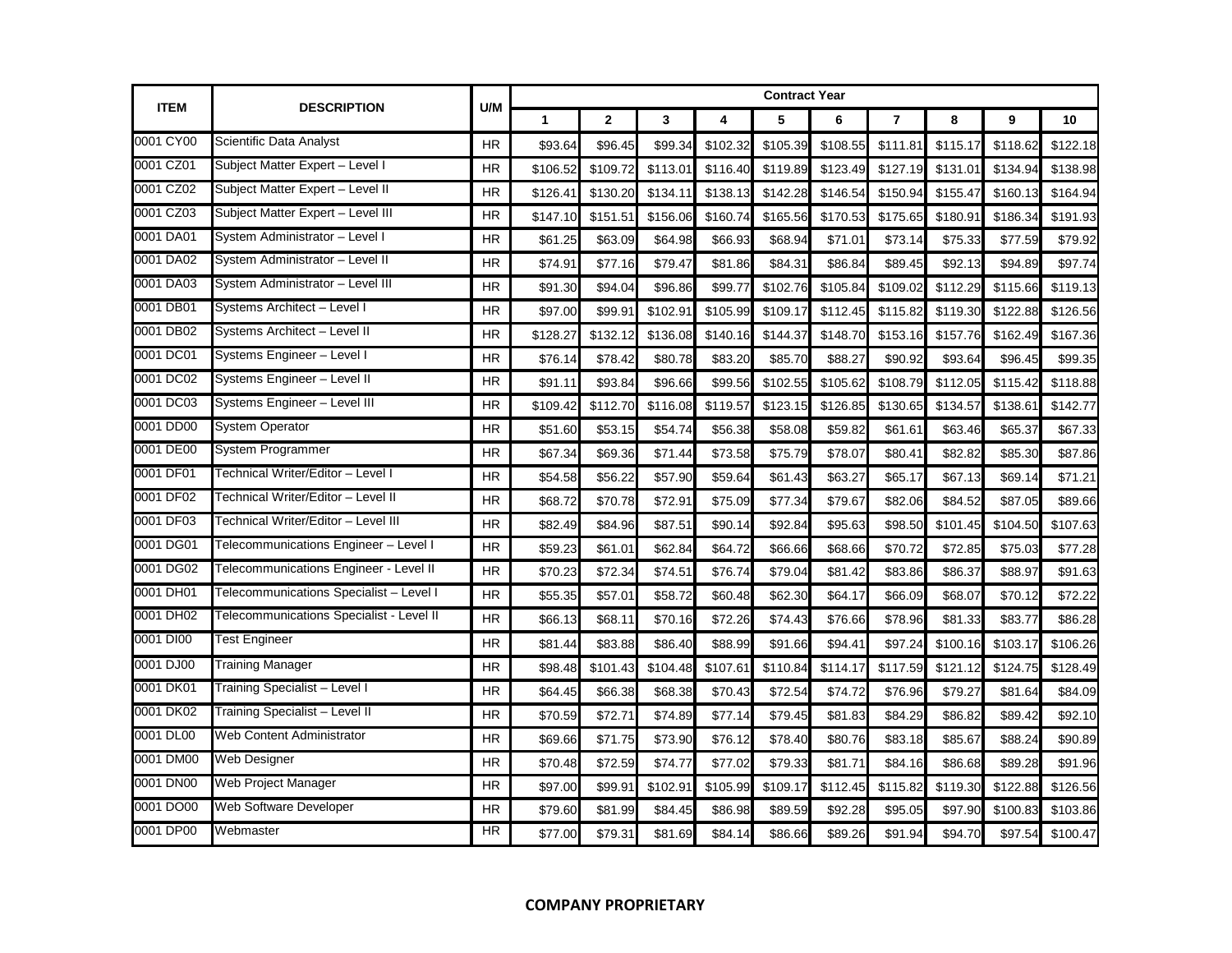| <b>ITEM</b> | <b>DESCRIPTION</b>                       |           | <b>Contract Year</b><br>U/M |                |          |          |          |          |                |          |          |          |  |
|-------------|------------------------------------------|-----------|-----------------------------|----------------|----------|----------|----------|----------|----------------|----------|----------|----------|--|
|             |                                          |           | $\mathbf{1}$                | $\overline{2}$ | 3        | 4        | 5        | 6        | $\overline{7}$ | 8        | 9        | 10       |  |
| 0001 CY00   | Scientific Data Analyst                  | HR        | \$93.64                     | \$96.45        | \$99.34  | \$102.32 | \$105.39 | \$108.55 | \$111.81       | \$115.17 | \$118.62 | \$122.18 |  |
| 0001 CZ01   | Subject Matter Expert - Level I          | <b>HR</b> | \$106.52                    | \$109.72       | \$113.01 | \$116.40 | \$119.89 | \$123.49 | \$127.19       | \$131.01 | \$134.94 | \$138.98 |  |
| 0001 CZ02   | Subject Matter Expert - Level II         | <b>HR</b> | \$126.41                    | \$130.20       | \$134.11 | \$138.13 | \$142.28 | \$146.54 | \$150.94       | \$155.47 | \$160.13 | \$164.94 |  |
| 0001 CZ03   | Subject Matter Expert - Level III        | <b>HR</b> | \$147.10                    | \$151.51       | \$156.06 | \$160.74 | \$165.56 | \$170.53 | \$175.65       | \$180.91 | \$186.34 | \$191.93 |  |
| 0001 DA01   | System Administrator - Level I           | <b>HR</b> | \$61.25                     | \$63.09        | \$64.98  | \$66.93  | \$68.94  | \$71.01  | \$73.14        | \$75.33  | \$77.59  | \$79.92  |  |
| 0001 DA02   | System Administrator - Level II          | <b>HR</b> | \$74.91                     | \$77.16        | \$79.47  | \$81.86  | \$84.31  | \$86.84  | \$89.45        | \$92.13  | \$94.89  | \$97.74  |  |
| 0001 DA03   | System Administrator - Level III         | <b>HR</b> | \$91.30                     | \$94.04        | \$96.86  | \$99.77  | \$102.76 | \$105.84 | \$109.02       | \$112.29 | \$115.66 | \$119.13 |  |
| 0001 DB01   | Systems Architect - Level I              | <b>HR</b> | \$97.00                     | \$99.91        | \$102.91 | \$105.99 | \$109.17 | \$112.45 | \$115.82       | \$119.30 | \$122.88 | \$126.56 |  |
| 0001 DB02   | Systems Architect - Level II             | <b>HR</b> | \$128.27                    | \$132.12       | \$136.08 | \$140.16 | \$144.37 | \$148.70 | \$153.16       | \$157.76 | \$162.49 | \$167.36 |  |
| 0001 DC01   | Systems Engineer - Level I               | <b>HR</b> | \$76.14                     | \$78.42        | \$80.78  | \$83.20  | \$85.70  | \$88.27  | \$90.92        | \$93.64  | \$96.45  | \$99.35  |  |
| 0001 DC02   | Systems Engineer - Level II              | <b>HR</b> | \$91.11                     | \$93.84        | \$96.66  | \$99.56  | \$102.55 | \$105.62 | \$108.79       | \$112.05 | \$115.42 | \$118.88 |  |
| 0001 DC03   | Systems Engineer - Level III             | <b>HR</b> | \$109.42                    | \$112.70       | \$116.08 | \$119.57 | \$123.15 | \$126.85 | \$130.65       | \$134.57 | \$138.61 | \$142.77 |  |
| 0001 DD00   | <b>System Operator</b>                   | HR        | \$51.60                     | \$53.15        | \$54.74  | \$56.38  | \$58.08  | \$59.82  | \$61.61        | \$63.46  | \$65.37  | \$67.33  |  |
| 0001 DE00   | System Programmer                        | <b>HR</b> | \$67.34                     | \$69.36        | \$71.44  | \$73.58  | \$75.79  | \$78.07  | \$80.41        | \$82.82  | \$85.30  | \$87.86  |  |
| 0001 DF01   | Technical Writer/Editor - Level I        | HR        | \$54.58                     | \$56.22        | \$57.90  | \$59.64  | \$61.43  | \$63.27  | \$65.17        | \$67.13  | \$69.14  | \$71.21  |  |
| 0001 DF02   | Technical Writer/Editor - Level II       | <b>HR</b> | \$68.72                     | \$70.78        | \$72.91  | \$75.09  | \$77.34  | \$79.67  | \$82.06        | \$84.52  | \$87.05  | \$89.66  |  |
| 0001 DF03   | Technical Writer/Editor - Level III      | <b>HR</b> | \$82.49                     | \$84.96        | \$87.51  | \$90.14  | \$92.84  | \$95.63  | \$98.50        | \$101.45 | \$104.50 | \$107.63 |  |
| 0001 DG01   | Telecommunications Engineer - Level I    | <b>HR</b> | \$59.23                     | \$61.01        | \$62.84  | \$64.72  | \$66.66  | \$68.66  | \$70.72        | \$72.85  | \$75.03  | \$77.28  |  |
| 0001 DG02   | Telecommunications Engineer - Level II   | <b>HR</b> | \$70.23                     | \$72.34        | \$74.51  | \$76.74  | \$79.04  | \$81.42  | \$83.86        | \$86.37  | \$88.97  | \$91.63  |  |
| 0001 DH01   | Telecommunications Specialist - Level I  | HR        | \$55.35                     | \$57.01        | \$58.72  | \$60.48  | \$62.30  | \$64.17  | \$66.09        | \$68.07  | \$70.12  | \$72.22  |  |
| 0001 DH02   | Telecommunications Specialist - Level II | <b>HR</b> | \$66.13                     | \$68.11        | \$70.16  | \$72.26  | \$74.43  | \$76.66  | \$78.96        | \$81.33  | \$83.77  | \$86.28  |  |
| 0001 DI00   | <b>Test Engineer</b>                     | HR        | \$81.44                     | \$83.88        | \$86.40  | \$88.99  | \$91.66  | \$94.41  | \$97.24        | \$100.16 | \$103.17 | \$106.26 |  |
| 0001 DJ00   | Training Manager                         | <b>HR</b> | \$98.48                     | \$101.43       | \$104.48 | \$107.61 | \$110.84 | \$114.17 | \$117.59       | \$121.12 | \$124.75 | \$128.49 |  |
| 0001 DK01   | Training Specialist - Level I            | <b>HR</b> | \$64.45                     | \$66.38        | \$68.38  | \$70.43  | \$72.54  | \$74.72  | \$76.96        | \$79.27  | \$81.64  | \$84.09  |  |
| 0001 DK02   | Training Specialist - Level II           | HR        | \$70.59                     | \$72.71        | \$74.89  | \$77.14  | \$79.45  | \$81.83  | \$84.29        | \$86.82  | \$89.42  | \$92.10  |  |
| 0001 DL00   | <b>Web Content Administrator</b>         | <b>HR</b> | \$69.66                     | \$71.75        | \$73.90  | \$76.12  | \$78.40  | \$80.76  | \$83.18        | \$85.67  | \$88.24  | \$90.89  |  |
| 0001 DM00   | Web Designer                             | <b>HR</b> | \$70.48                     | \$72.59        | \$74.77  | \$77.02  | \$79.33  | \$81.71  | \$84.16        | \$86.68  | \$89.28  | \$91.96  |  |
| 0001 DN00   | Web Project Manager                      | <b>HR</b> | \$97.00                     | \$99.91        | \$102.91 | \$105.99 | \$109.17 | \$112.45 | \$115.82       | \$119.30 | \$122.88 | \$126.56 |  |
| 0001 DO00   | <b>Web Software Developer</b>            | <b>HR</b> | \$79.60                     | \$81.99        | \$84.45  | \$86.98  | \$89.59  | \$92.28  | \$95.05        | \$97.90  | \$100.83 | \$103.86 |  |
| 0001 DP00   | Webmaster                                | <b>HR</b> | \$77.00                     | \$79.31        | \$81.69  | \$84.14  | \$86.66  | \$89.26  | \$91.94        | \$94.70  | \$97.54  | \$100.47 |  |